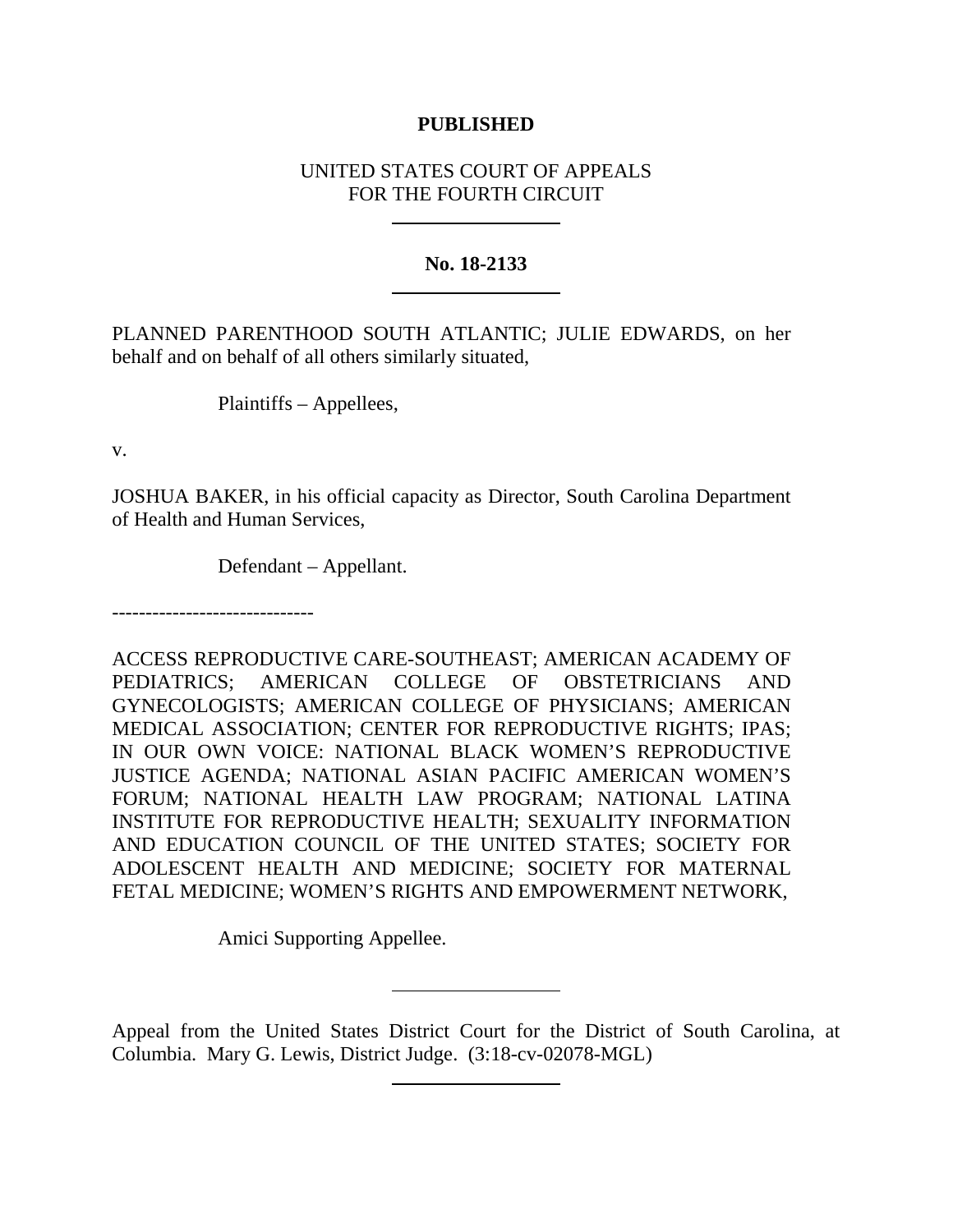## **PUBLISHED**

# UNITED STATES COURT OF APPEALS FOR THE FOURTH CIRCUIT

## **No. 18-2133**

PLANNED PARENTHOOD SOUTH ATLANTIC; JULIE EDWARDS, on her behalf and on behalf of all others similarly situated,

Plaintiffs – Appellees,

v.

JOSHUA BAKER, in his official capacity as Director, South Carolina Department of Health and Human Services,

Defendant – Appellant.

------------------------------

ACCESS REPRODUCTIVE CARE-SOUTHEAST; AMERICAN ACADEMY OF PEDIATRICS; AMERICAN COLLEGE OF OBSTETRICIANS AND GYNECOLOGISTS; AMERICAN COLLEGE OF PHYSICIANS; AMERICAN MEDICAL ASSOCIATION; CENTER FOR REPRODUCTIVE RIGHTS; IPAS; IN OUR OWN VOICE: NATIONAL BLACK WOMEN'S REPRODUCTIVE JUSTICE AGENDA; NATIONAL ASIAN PACIFIC AMERICAN WOMEN'S FORUM; NATIONAL HEALTH LAW PROGRAM; NATIONAL LATINA INSTITUTE FOR REPRODUCTIVE HEALTH; SEXUALITY INFORMATION AND EDUCATION COUNCIL OF THE UNITED STATES; SOCIETY FOR ADOLESCENT HEALTH AND MEDICINE; SOCIETY FOR MATERNAL FETAL MEDICINE; WOMEN'S RIGHTS AND EMPOWERMENT NETWORK,

Amici Supporting Appellee.

Appeal from the United States District Court for the District of South Carolina, at Columbia. Mary G. Lewis, District Judge. (3:18-cv-02078-MGL)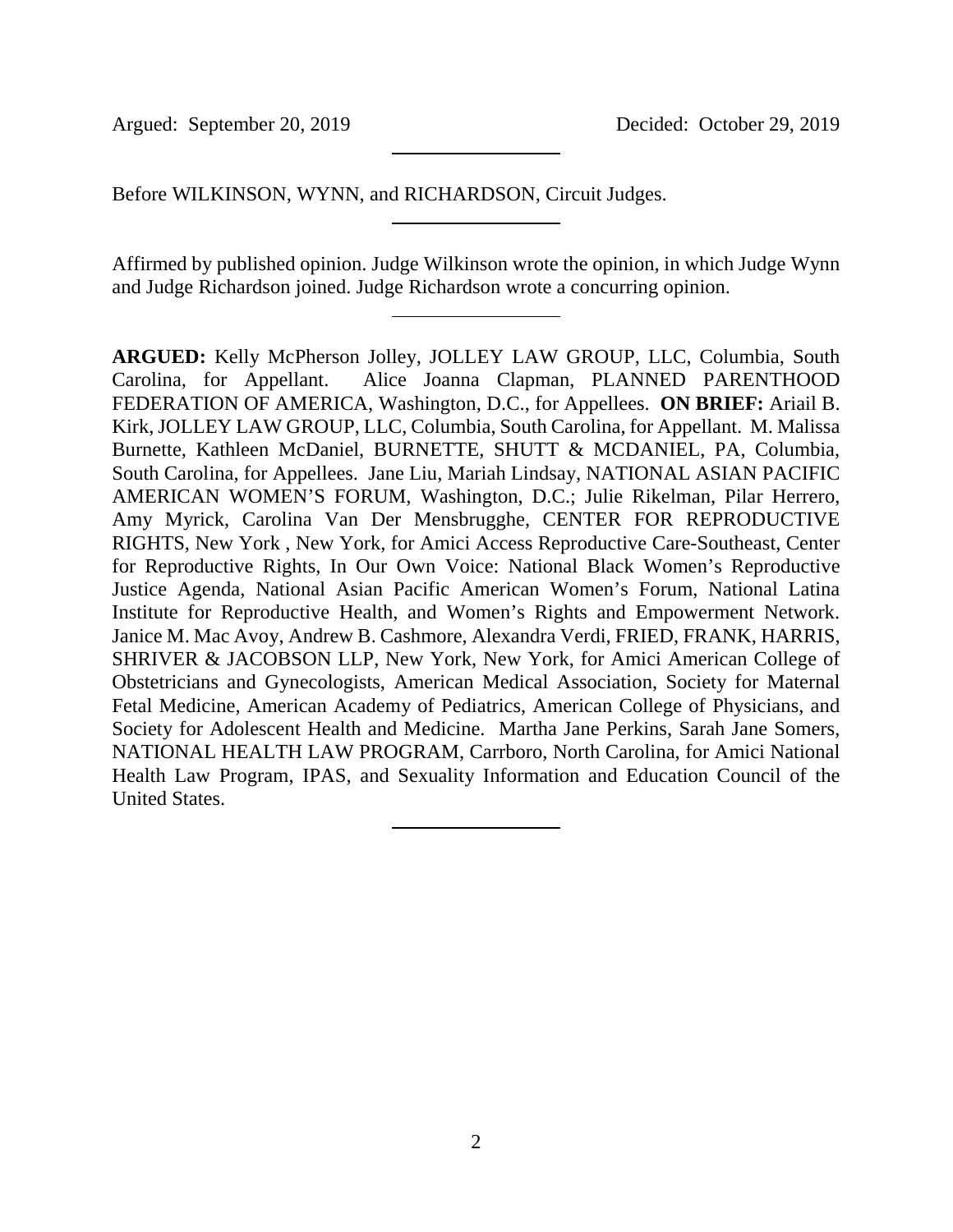Argued: September 20, 2019 Decided: October 29, 2019

Before WILKINSON, WYNN, and RICHARDSON, Circuit Judges.

Affirmed by published opinion. Judge Wilkinson wrote the opinion, in which Judge Wynn and Judge Richardson joined. Judge Richardson wrote a concurring opinion.

**ARGUED:** Kelly McPherson Jolley, JOLLEY LAW GROUP, LLC, Columbia, South Carolina, for Appellant. Alice Joanna Clapman, PLANNED PARENTHOOD FEDERATION OF AMERICA, Washington, D.C., for Appellees. **ON BRIEF:** Ariail B. Kirk, JOLLEY LAW GROUP, LLC, Columbia, South Carolina, for Appellant. M. Malissa Burnette, Kathleen McDaniel, BURNETTE, SHUTT & MCDANIEL, PA, Columbia, South Carolina, for Appellees. Jane Liu, Mariah Lindsay, NATIONAL ASIAN PACIFIC AMERICAN WOMEN'S FORUM, Washington, D.C.; Julie Rikelman, Pilar Herrero, Amy Myrick, Carolina Van Der Mensbrugghe, CENTER FOR REPRODUCTIVE RIGHTS, New York , New York, for Amici Access Reproductive Care-Southeast, Center for Reproductive Rights, In Our Own Voice: National Black Women's Reproductive Justice Agenda, National Asian Pacific American Women's Forum, National Latina Institute for Reproductive Health, and Women's Rights and Empowerment Network. Janice M. Mac Avoy, Andrew B. Cashmore, Alexandra Verdi, FRIED, FRANK, HARRIS, SHRIVER & JACOBSON LLP, New York, New York, for Amici American College of Obstetricians and Gynecologists, American Medical Association, Society for Maternal Fetal Medicine, American Academy of Pediatrics, American College of Physicians, and Society for Adolescent Health and Medicine. Martha Jane Perkins, Sarah Jane Somers, NATIONAL HEALTH LAW PROGRAM, Carrboro, North Carolina, for Amici National Health Law Program, IPAS, and Sexuality Information and Education Council of the United States.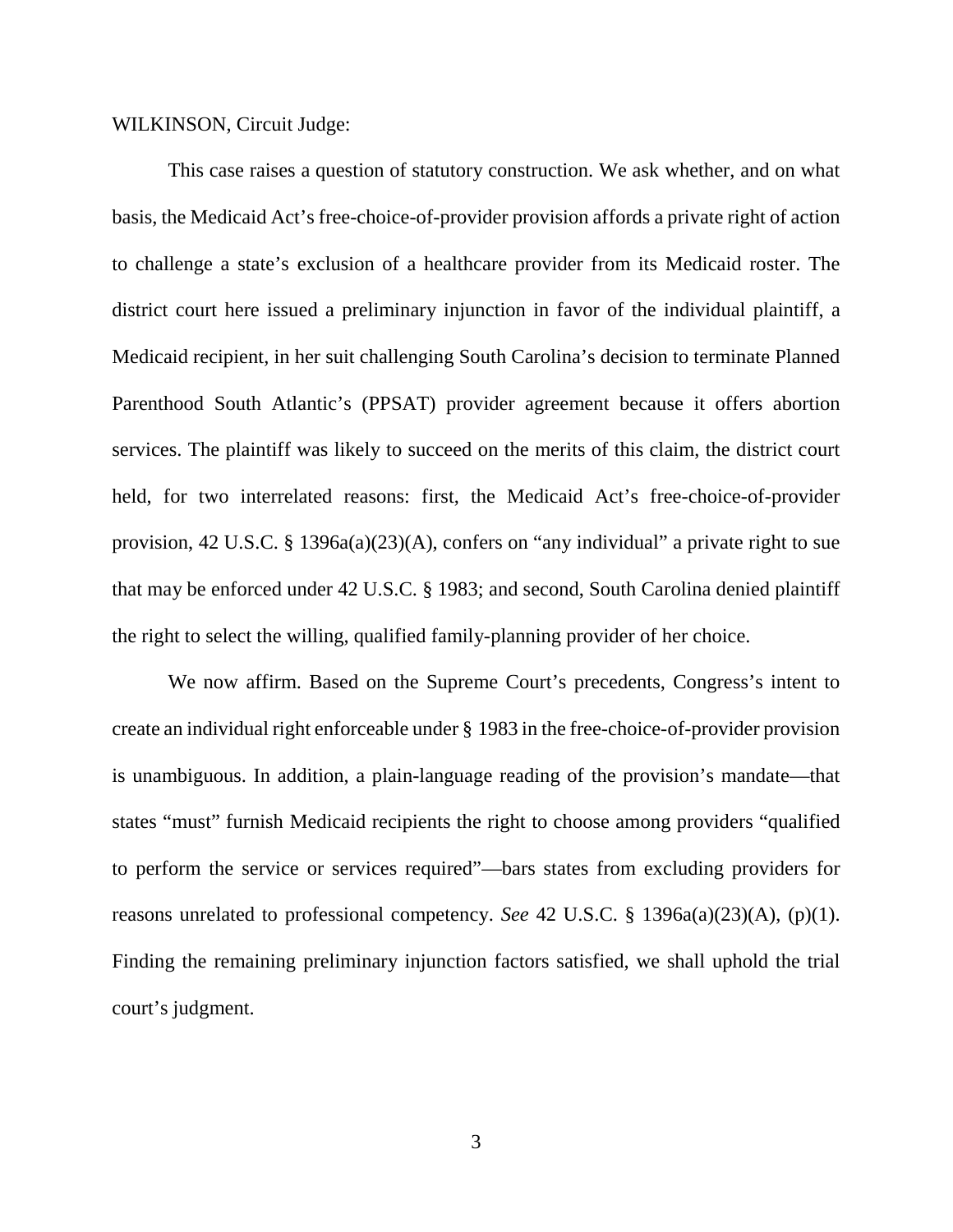WILKINSON, Circuit Judge:

This case raises a question of statutory construction. We ask whether, and on what basis, the Medicaid Act's free-choice-of-provider provision affords a private right of action to challenge a state's exclusion of a healthcare provider from its Medicaid roster. The district court here issued a preliminary injunction in favor of the individual plaintiff, a Medicaid recipient, in her suit challenging South Carolina's decision to terminate Planned Parenthood South Atlantic's (PPSAT) provider agreement because it offers abortion services. The plaintiff was likely to succeed on the merits of this claim, the district court held, for two interrelated reasons: first, the Medicaid Act's free-choice-of-provider provision, 42 U.S.C. § 1396a(a)(23)(A), confers on "any individual" a private right to sue that may be enforced under 42 U.S.C. § 1983; and second, South Carolina denied plaintiff the right to select the willing, qualified family-planning provider of her choice.

We now affirm. Based on the Supreme Court's precedents, Congress's intent to create an individual right enforceable under § 1983 in the free-choice-of-provider provision is unambiguous. In addition, a plain-language reading of the provision's mandate—that states "must" furnish Medicaid recipients the right to choose among providers "qualified to perform the service or services required"—bars states from excluding providers for reasons unrelated to professional competency. *See* 42 U.S.C. § 1396a(a)(23)(A), (p)(1). Finding the remaining preliminary injunction factors satisfied, we shall uphold the trial court's judgment.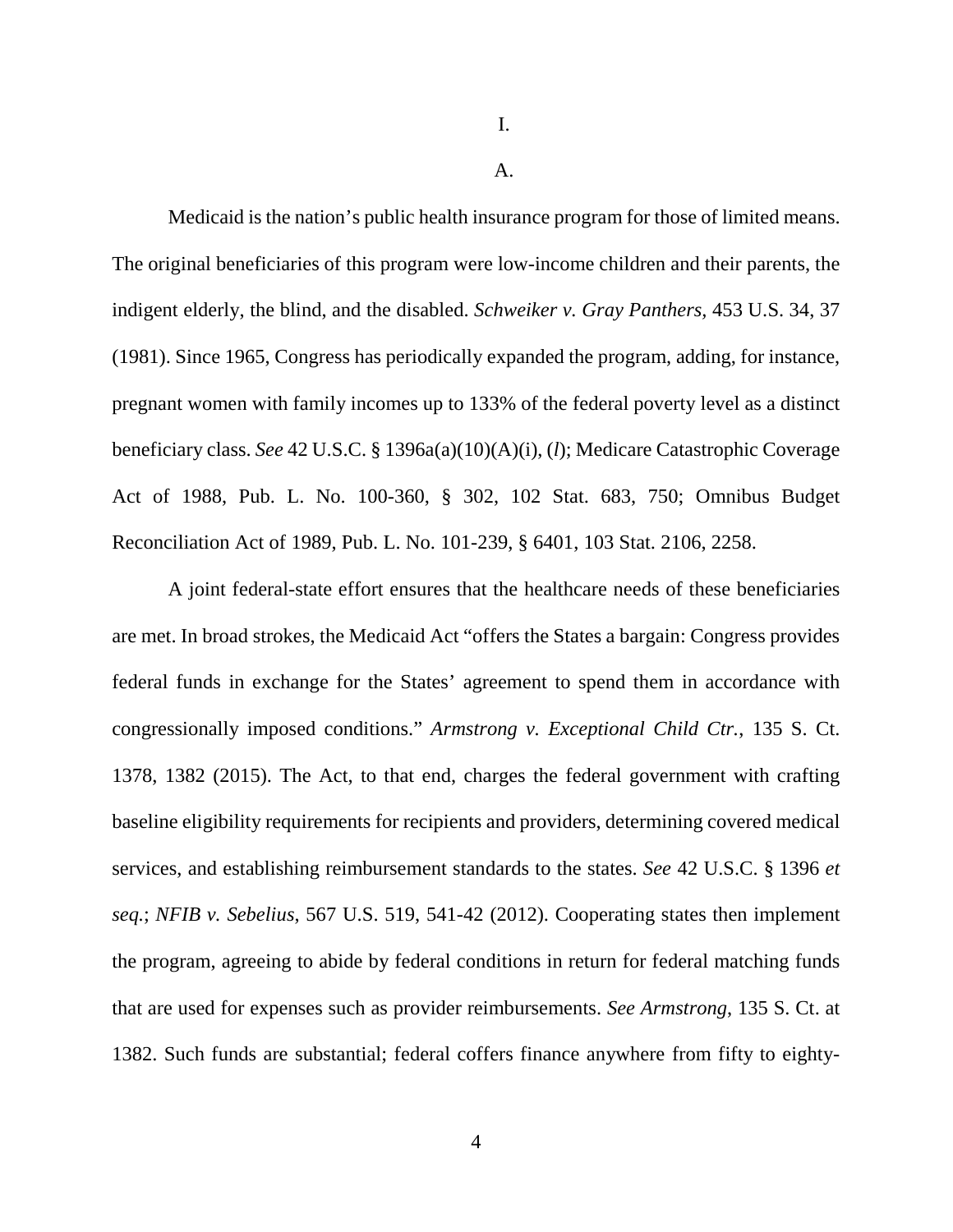I.

A.

Medicaid is the nation's public health insurance program for those of limited means. The original beneficiaries of this program were low-income children and their parents, the indigent elderly, the blind, and the disabled. *Schweiker v. Gray Panthers,* 453 U.S. 34, 37 (1981). Since 1965, Congress has periodically expanded the program, adding, for instance, pregnant women with family incomes up to 133% of the federal poverty level as a distinct beneficiary class. *See* 42 U.S.C. § 1396a(a)(10)(A)(i), (*l*); Medicare Catastrophic Coverage Act of 1988, Pub. L. No. 100-360, § 302, 102 Stat. 683, 750; Omnibus Budget Reconciliation Act of 1989, Pub. L. No. 101-239, § 6401, 103 Stat. 2106, 2258.

A joint federal-state effort ensures that the healthcare needs of these beneficiaries are met. In broad strokes, the Medicaid Act "offers the States a bargain: Congress provides federal funds in exchange for the States' agreement to spend them in accordance with congressionally imposed conditions." *Armstrong v. Exceptional Child Ctr.*, 135 S. Ct. 1378, 1382 (2015). The Act, to that end, charges the federal government with crafting baseline eligibility requirements for recipients and providers, determining covered medical services, and establishing reimbursement standards to the states. *See* 42 U.S.C. § 1396 *et seq.*; *NFIB v. Sebelius*, 567 U.S. 519, 541-42 (2012). Cooperating states then implement the program, agreeing to abide by federal conditions in return for federal matching funds that are used for expenses such as provider reimbursements. *See Armstrong*, 135 S. Ct. at 1382. Such funds are substantial; federal coffers finance anywhere from fifty to eighty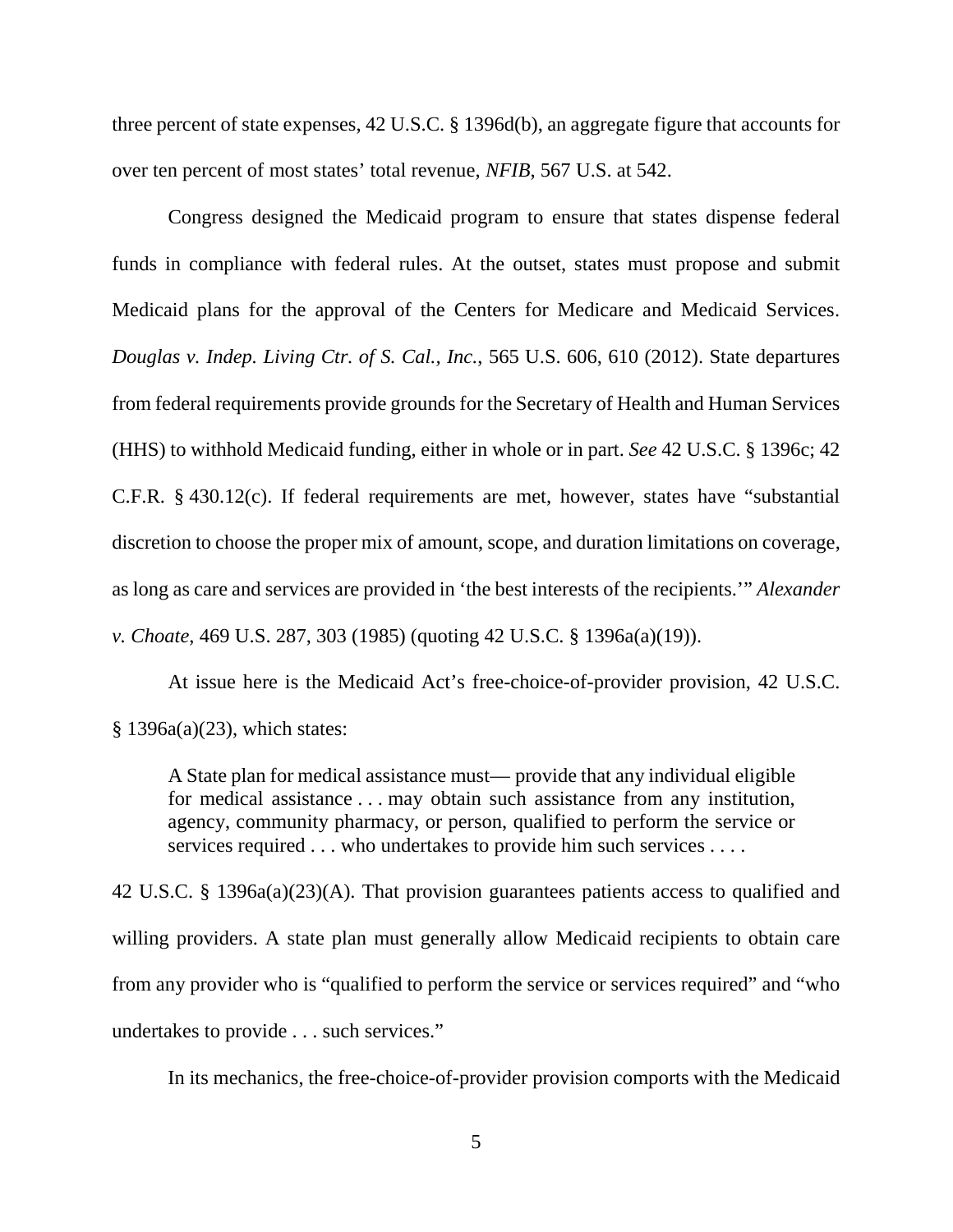three percent of state expenses, 42 U.S.C. § 1396d(b), an aggregate figure that accounts for over ten percent of most states' total revenue, *NFIB*, 567 U.S. at 542.

Congress designed the Medicaid program to ensure that states dispense federal funds in compliance with federal rules. At the outset, states must propose and submit Medicaid plans for the approval of the Centers for Medicare and Medicaid Services. *Douglas v. Indep. Living Ctr. of S. Cal., Inc.*, 565 U.S. 606, 610 (2012). State departures from federal requirements provide grounds for the Secretary of Health and Human Services (HHS) to withhold Medicaid funding, either in whole or in part. *See* 42 U.S.C. § 1396c; 42 C.F.R. § 430.12(c). If federal requirements are met, however, states have "substantial discretion to choose the proper mix of amount, scope, and duration limitations on coverage, as long as care and services are provided in 'the best interests of the recipients.'" *Alexander v. Choate*, 469 U.S. 287, 303 (1985) (quoting 42 U.S.C. § 1396a(a)(19)).

At issue here is the Medicaid Act's free-choice-of-provider provision, 42 U.S.C. § 1396a(a)(23), which states:

A State plan for medical assistance must— provide that any individual eligible for medical assistance . . . may obtain such assistance from any institution, agency, community pharmacy, or person, qualified to perform the service or services required . . . who undertakes to provide him such services . . . .

42 U.S.C. § 1396a(a)(23)(A). That provision guarantees patients access to qualified and willing providers. A state plan must generally allow Medicaid recipients to obtain care from any provider who is "qualified to perform the service or services required" and "who undertakes to provide . . . such services."

In its mechanics, the free-choice-of-provider provision comports with the Medicaid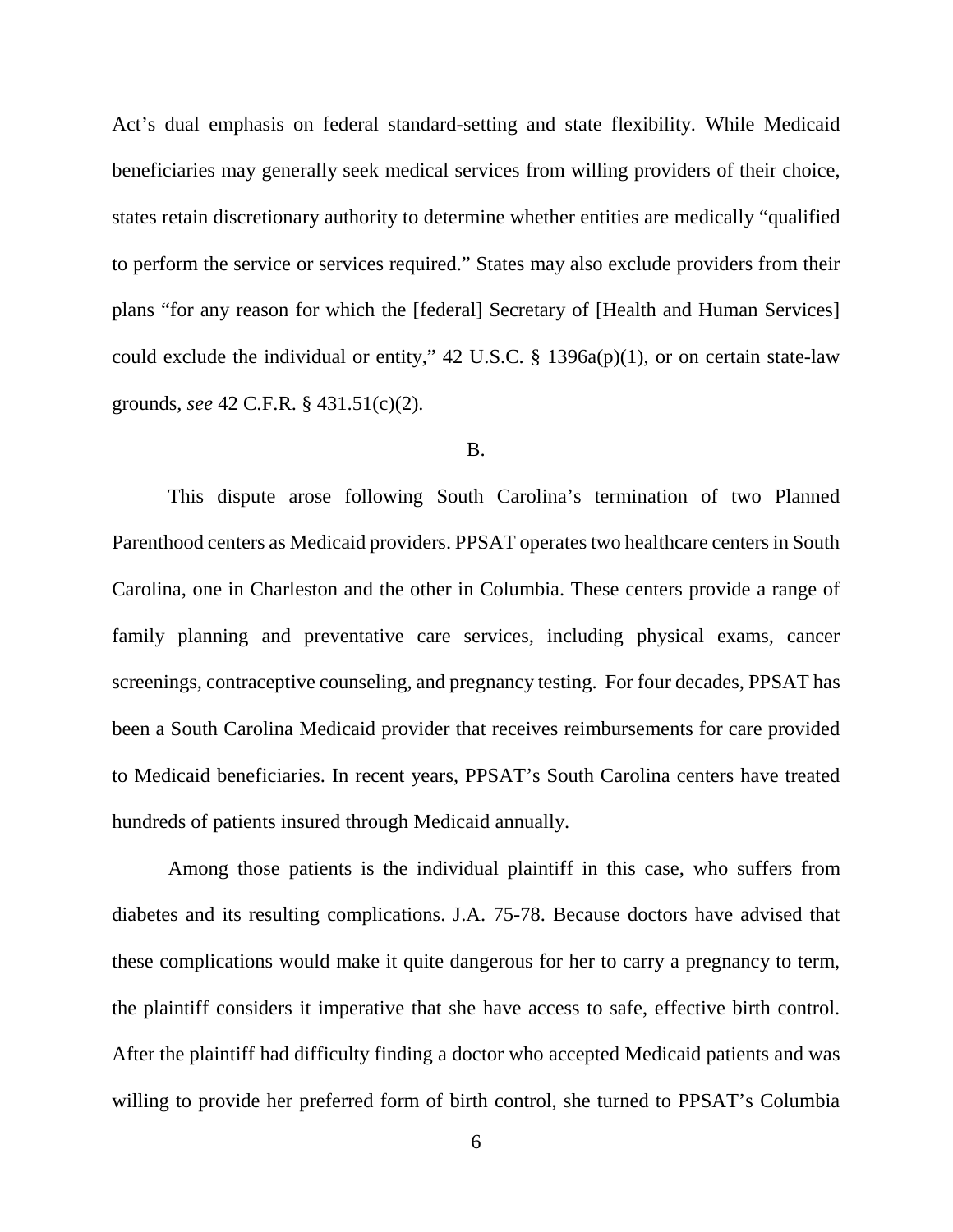Act's dual emphasis on federal standard-setting and state flexibility. While Medicaid beneficiaries may generally seek medical services from willing providers of their choice, states retain discretionary authority to determine whether entities are medically "qualified to perform the service or services required." States may also exclude providers from their plans "for any reason for which the [federal] Secretary of [Health and Human Services] could exclude the individual or entity," 42 U.S.C.  $\S$  1396a(p)(1), or on certain state-law grounds, *see* 42 C.F.R. § 431.51(c)(2).

### B.

This dispute arose following South Carolina's termination of two Planned Parenthood centers as Medicaid providers. PPSAT operates two healthcare centers in South Carolina, one in Charleston and the other in Columbia. These centers provide a range of family planning and preventative care services, including physical exams, cancer screenings, contraceptive counseling, and pregnancy testing. For four decades, PPSAT has been a South Carolina Medicaid provider that receives reimbursements for care provided to Medicaid beneficiaries. In recent years, PPSAT's South Carolina centers have treated hundreds of patients insured through Medicaid annually.

Among those patients is the individual plaintiff in this case, who suffers from diabetes and its resulting complications. J.A. 75-78. Because doctors have advised that these complications would make it quite dangerous for her to carry a pregnancy to term, the plaintiff considers it imperative that she have access to safe, effective birth control. After the plaintiff had difficulty finding a doctor who accepted Medicaid patients and was willing to provide her preferred form of birth control, she turned to PPSAT's Columbia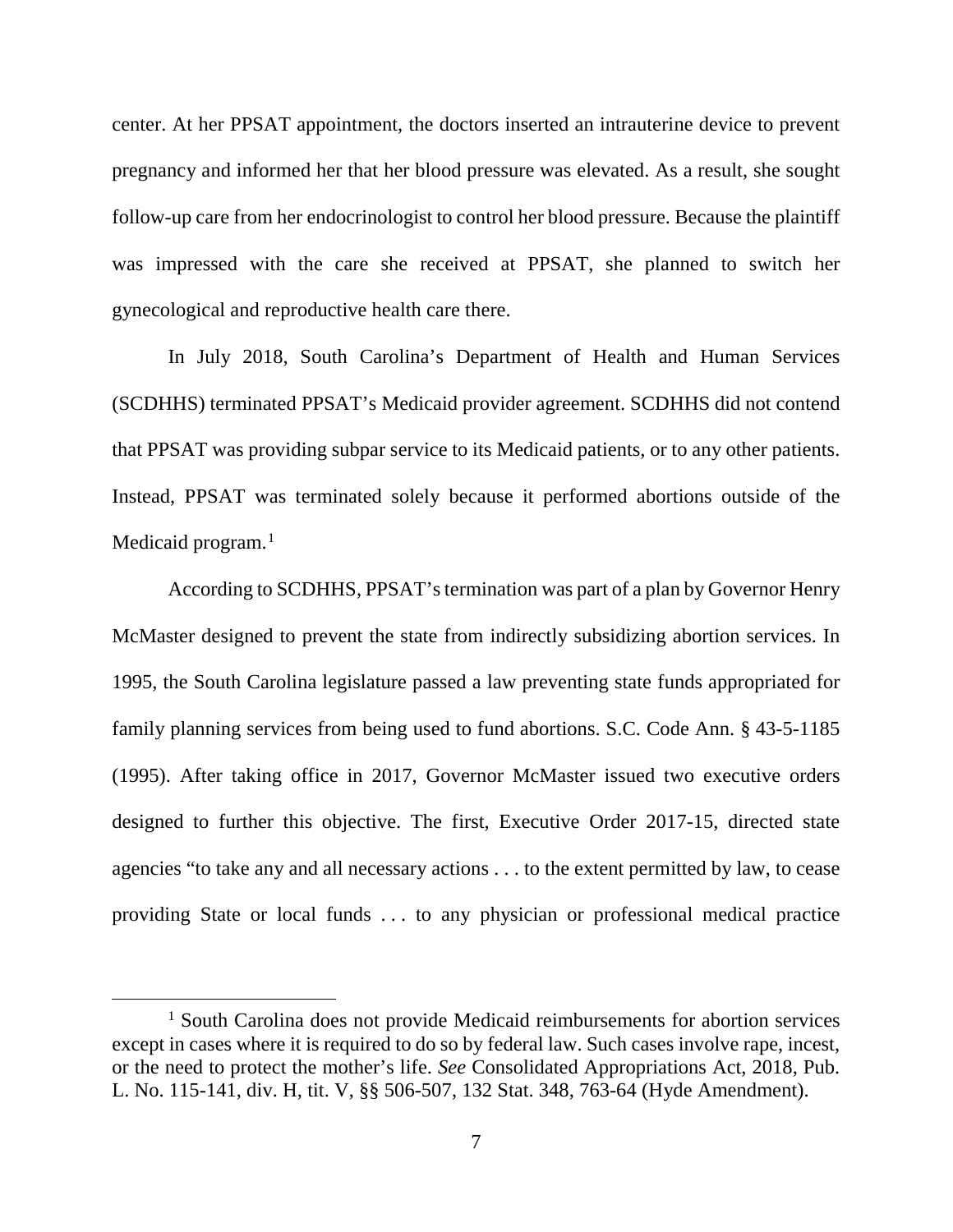center. At her PPSAT appointment, the doctors inserted an intrauterine device to prevent pregnancy and informed her that her blood pressure was elevated. As a result, she sought follow-up care from her endocrinologist to control her blood pressure. Because the plaintiff was impressed with the care she received at PPSAT, she planned to switch her gynecological and reproductive health care there.

In July 2018, South Carolina's Department of Health and Human Services (SCDHHS) terminated PPSAT's Medicaid provider agreement. SCDHHS did not contend that PPSAT was providing subpar service to its Medicaid patients, or to any other patients. Instead, PPSAT was terminated solely because it performed abortions outside of the Medicaid program. $<sup>1</sup>$  $<sup>1</sup>$  $<sup>1</sup>$ </sup>

According to SCDHHS, PPSAT's termination was part of a plan by Governor Henry McMaster designed to prevent the state from indirectly subsidizing abortion services. In 1995, the South Carolina legislature passed a law preventing state funds appropriated for family planning services from being used to fund abortions. S.C. Code Ann. § 43-5-1185 (1995). After taking office in 2017, Governor McMaster issued two executive orders designed to further this objective. The first, Executive Order 2017-15, directed state agencies "to take any and all necessary actions . . . to the extent permitted by law, to cease providing State or local funds . . . to any physician or professional medical practice

<span id="page-6-0"></span><sup>&</sup>lt;sup>1</sup> South Carolina does not provide Medicaid reimbursements for abortion services except in cases where it is required to do so by federal law. Such cases involve rape, incest, or the need to protect the mother's life. *See* Consolidated Appropriations Act, 2018, Pub. L. No. 115-141, div. H, tit. V, §§ 506-507, 132 Stat. 348, 763-64 (Hyde Amendment).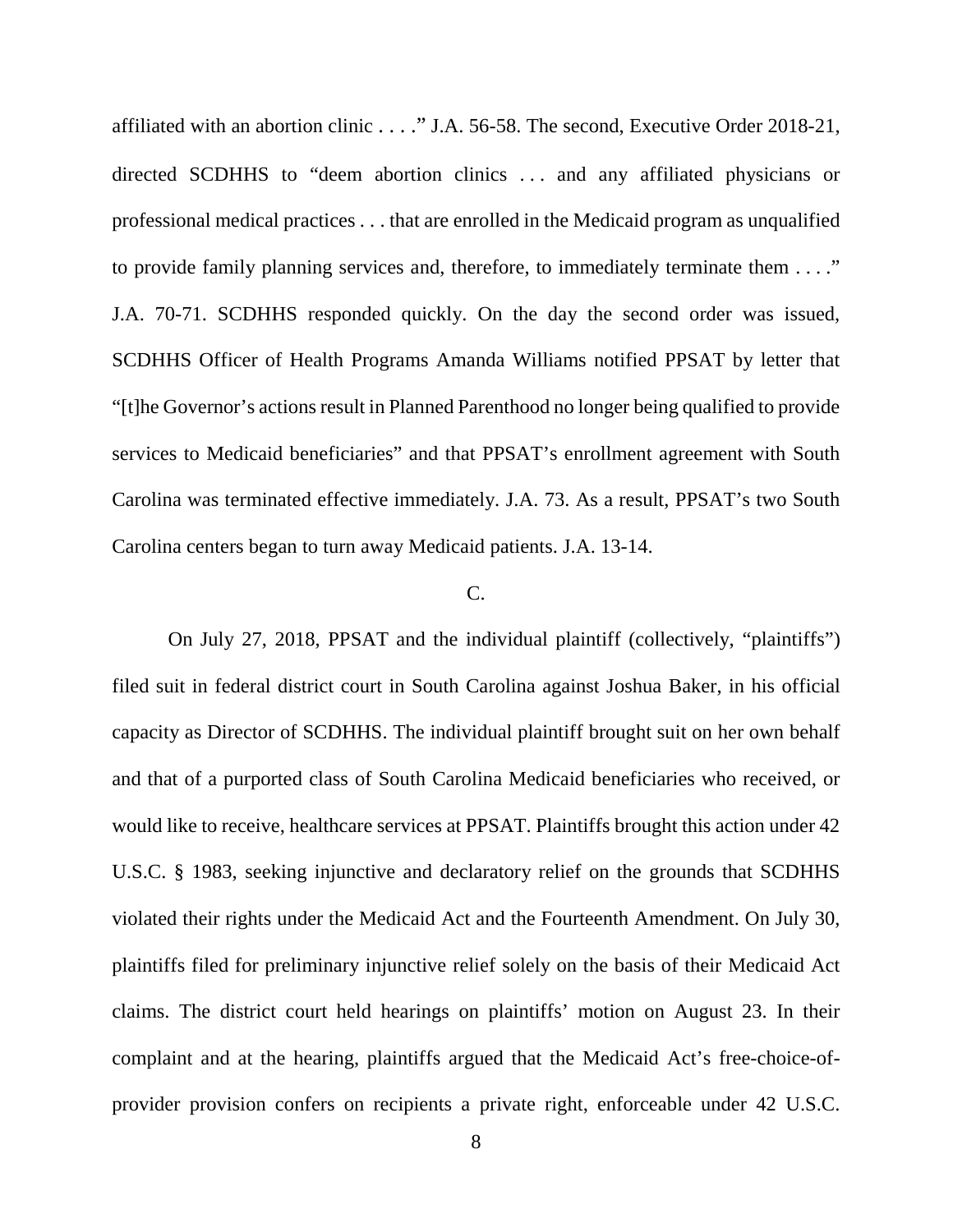affiliated with an abortion clinic . . . ." J.A. 56-58. The second, Executive Order 2018-21, directed SCDHHS to "deem abortion clinics . . . and any affiliated physicians or professional medical practices . . . that are enrolled in the Medicaid program as unqualified to provide family planning services and, therefore, to immediately terminate them . . . ." J.A. 70-71. SCDHHS responded quickly. On the day the second order was issued, SCDHHS Officer of Health Programs Amanda Williams notified PPSAT by letter that "[t]he Governor's actions result in Planned Parenthood no longer being qualified to provide services to Medicaid beneficiaries" and that PPSAT's enrollment agreement with South Carolina was terminated effective immediately. J.A. 73. As a result, PPSAT's two South Carolina centers began to turn away Medicaid patients. J.A. 13-14.

## C.

On July 27, 2018, PPSAT and the individual plaintiff (collectively, "plaintiffs") filed suit in federal district court in South Carolina against Joshua Baker, in his official capacity as Director of SCDHHS. The individual plaintiff brought suit on her own behalf and that of a purported class of South Carolina Medicaid beneficiaries who received, or would like to receive, healthcare services at PPSAT. Plaintiffs brought this action under 42 U.S.C. § 1983, seeking injunctive and declaratory relief on the grounds that SCDHHS violated their rights under the Medicaid Act and the Fourteenth Amendment. On July 30, plaintiffs filed for preliminary injunctive relief solely on the basis of their Medicaid Act claims. The district court held hearings on plaintiffs' motion on August 23. In their complaint and at the hearing, plaintiffs argued that the Medicaid Act's free-choice-ofprovider provision confers on recipients a private right, enforceable under 42 U.S.C.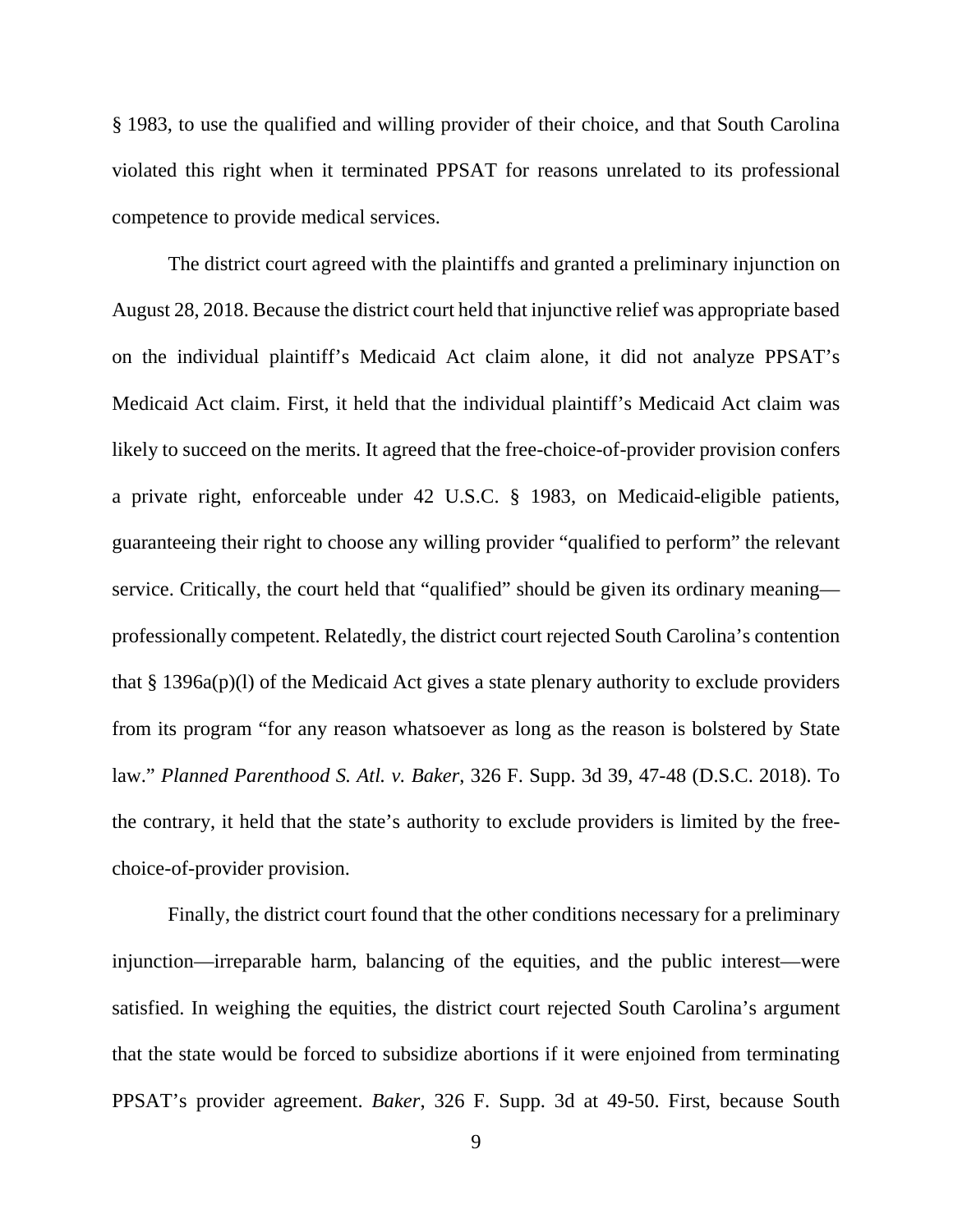§ 1983, to use the qualified and willing provider of their choice, and that South Carolina violated this right when it terminated PPSAT for reasons unrelated to its professional competence to provide medical services.

The district court agreed with the plaintiffs and granted a preliminary injunction on August 28, 2018. Because the district court held that injunctive relief was appropriate based on the individual plaintiff's Medicaid Act claim alone, it did not analyze PPSAT's Medicaid Act claim. First, it held that the individual plaintiff's Medicaid Act claim was likely to succeed on the merits. It agreed that the free-choice-of-provider provision confers a private right, enforceable under 42 U.S.C. § 1983, on Medicaid-eligible patients, guaranteeing their right to choose any willing provider "qualified to perform" the relevant service. Critically, the court held that "qualified" should be given its ordinary meaning professionally competent. Relatedly, the district court rejected South Carolina's contention that § 1396a(p)(l) of the Medicaid Act gives a state plenary authority to exclude providers from its program "for any reason whatsoever as long as the reason is bolstered by State law." *Planned Parenthood S. Atl. v. Baker*, 326 F. Supp. 3d 39, 47-48 (D.S.C. 2018). To the contrary, it held that the state's authority to exclude providers is limited by the freechoice-of-provider provision.

Finally, the district court found that the other conditions necessary for a preliminary injunction—irreparable harm, balancing of the equities, and the public interest—were satisfied. In weighing the equities, the district court rejected South Carolina's argument that the state would be forced to subsidize abortions if it were enjoined from terminating PPSAT's provider agreement. *Baker*, 326 F. Supp. 3d at 49-50. First, because South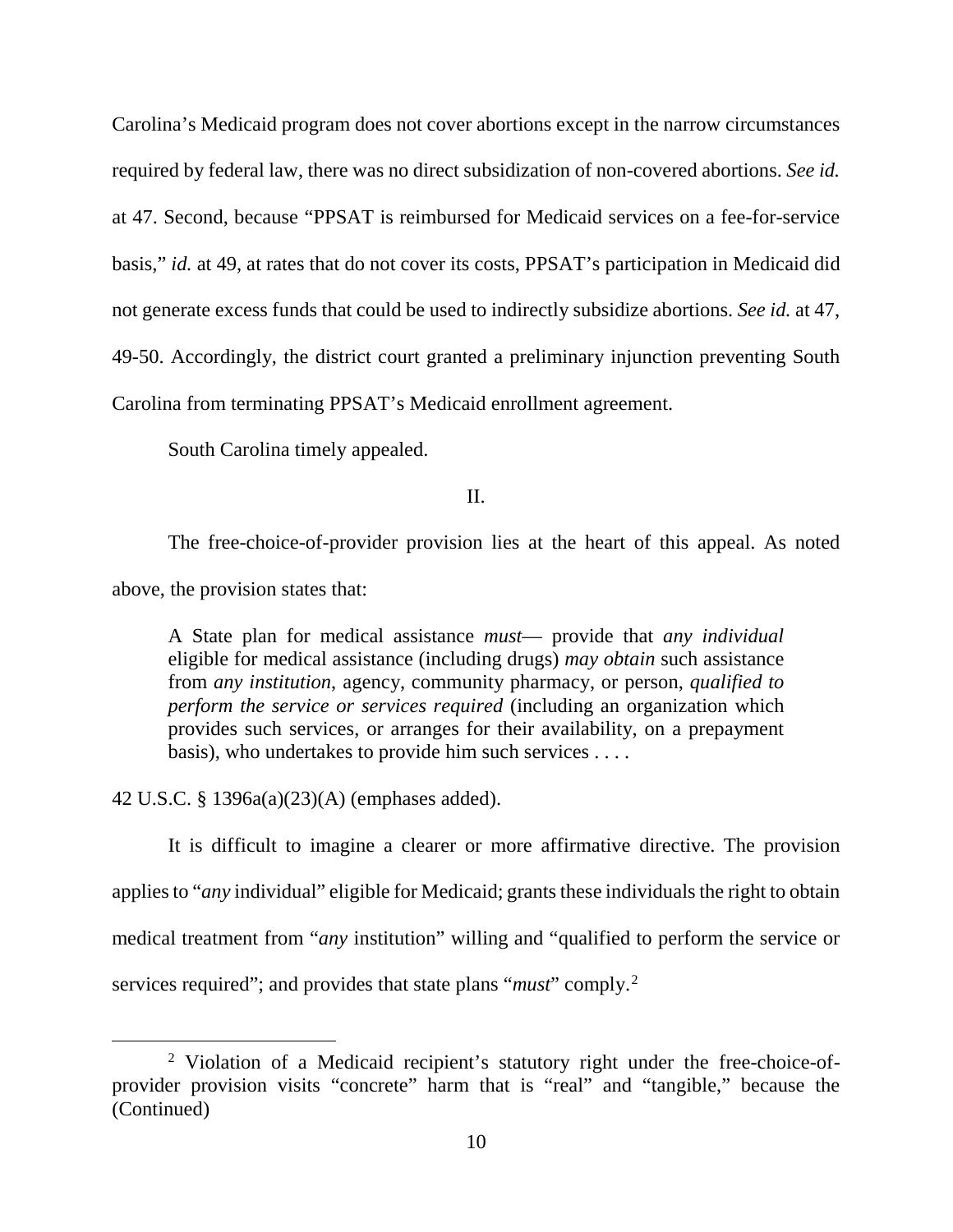Carolina's Medicaid program does not cover abortions except in the narrow circumstances required by federal law, there was no direct subsidization of non-covered abortions. *See id.*  at 47. Second, because "PPSAT is reimbursed for Medicaid services on a fee-for-service basis," *id.* at 49, at rates that do not cover its costs, PPSAT's participation in Medicaid did not generate excess funds that could be used to indirectly subsidize abortions. *See id.* at 47, 49-50. Accordingly, the district court granted a preliminary injunction preventing South Carolina from terminating PPSAT's Medicaid enrollment agreement.

South Carolina timely appealed.

II.

The free-choice-of-provider provision lies at the heart of this appeal. As noted above, the provision states that:

A State plan for medical assistance *must*— provide that *any individual*  eligible for medical assistance (including drugs) *may obtain* such assistance from *any institution*, agency, community pharmacy, or person, *qualified to perform the service or services required* (including an organization which provides such services, or arranges for their availability, on a prepayment basis), who undertakes to provide him such services . . . .

42 U.S.C. § 1396a(a)(23)(A) (emphases added).

It is difficult to imagine a clearer or more affirmative directive. The provision applies to "*any* individual" eligible for Medicaid; grants these individuals the right to obtain medical treatment from "*any* institution" willing and "qualified to perform the service or services required"; and provides that state plans "*must*" comply.[2](#page-9-0)

<span id="page-9-0"></span> <sup>2</sup> Violation of a Medicaid recipient's statutory right under the free-choice-ofprovider provision visits "concrete" harm that is "real" and "tangible," because the (Continued)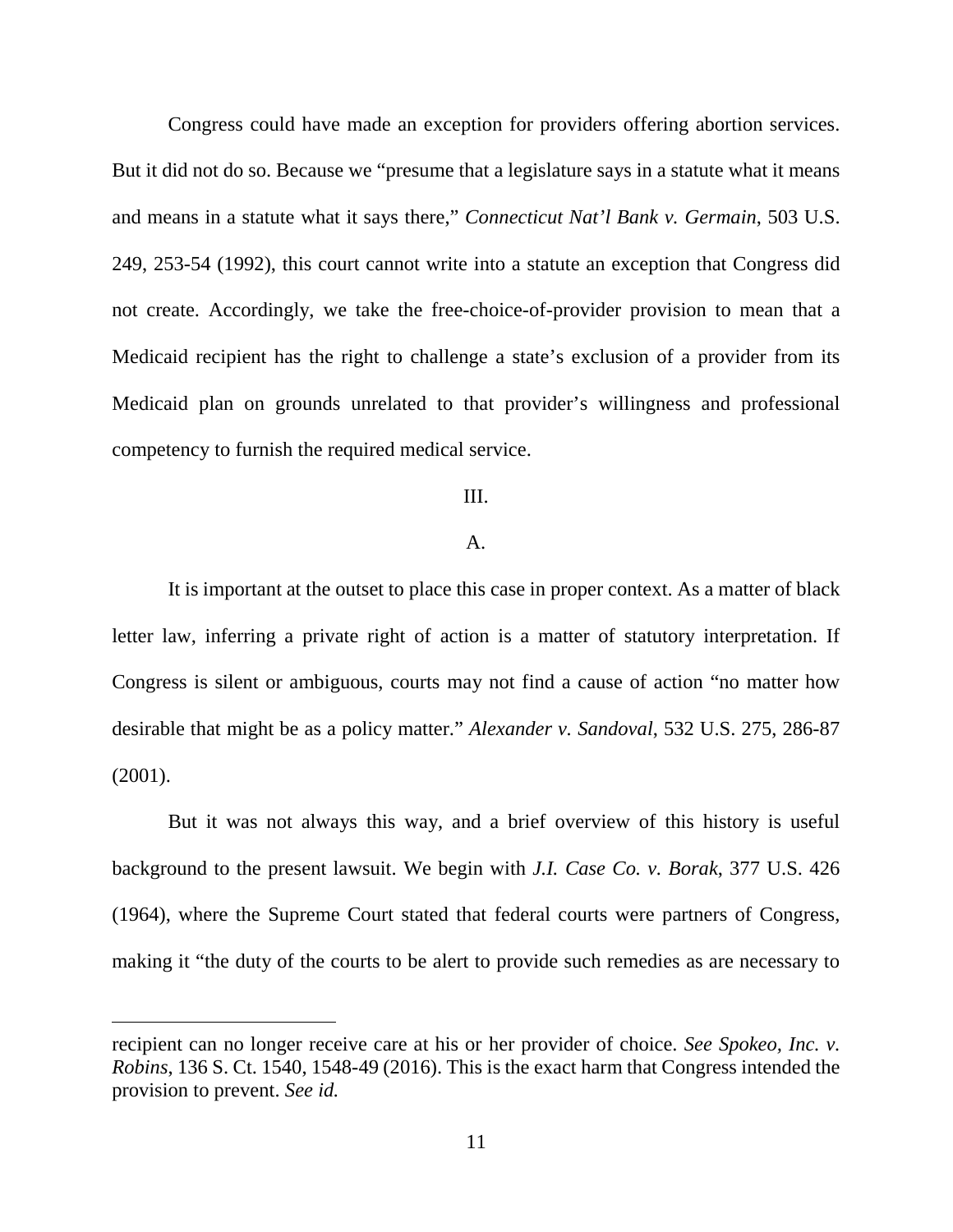Congress could have made an exception for providers offering abortion services. But it did not do so. Because we "presume that a legislature says in a statute what it means and means in a statute what it says there," *Connecticut Nat'l Bank v. Germain*, 503 U.S. 249, 253-54 (1992), this court cannot write into a statute an exception that Congress did not create. Accordingly, we take the free-choice-of-provider provision to mean that a Medicaid recipient has the right to challenge a state's exclusion of a provider from its Medicaid plan on grounds unrelated to that provider's willingness and professional competency to furnish the required medical service.

## III.

## A.

It is important at the outset to place this case in proper context. As a matter of black letter law, inferring a private right of action is a matter of statutory interpretation. If Congress is silent or ambiguous, courts may not find a cause of action "no matter how desirable that might be as a policy matter." *Alexander v. Sandoval*, 532 U.S. 275, 286-87 (2001).

But it was not always this way, and a brief overview of this history is useful background to the present lawsuit. We begin with *J.I. Case Co. v. Borak*, 377 U.S. 426 (1964), where the Supreme Court stated that federal courts were partners of Congress, making it "the duty of the courts to be alert to provide such remedies as are necessary to

 $\overline{a}$ 

recipient can no longer receive care at his or her provider of choice. *See Spokeo, Inc. v. Robins*, 136 S. Ct. 1540, 1548-49 (2016). This is the exact harm that Congress intended the provision to prevent. *See id.*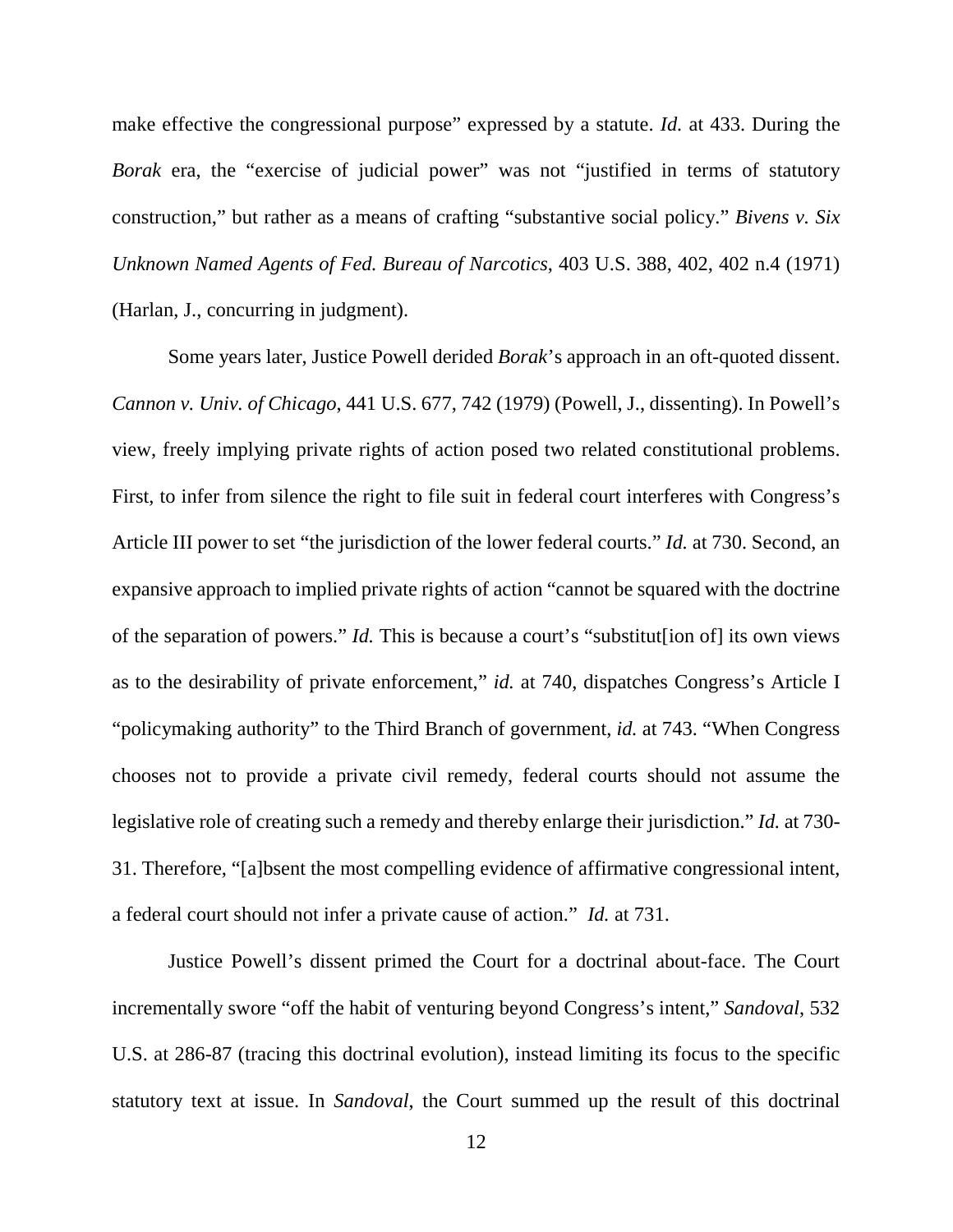make effective the congressional purpose" expressed by a statute. *Id.* at 433. During the *Borak* era, the "exercise of judicial power" was not "justified in terms of statutory construction," but rather as a means of crafting "substantive social policy." *Bivens v. Six Unknown Named Agents of Fed. Bureau of Narcotics*, 403 U.S. 388, 402, 402 n.4 (1971) (Harlan, J., concurring in judgment).

Some years later, Justice Powell derided *Borak*'s approach in an oft-quoted dissent. *Cannon v. Univ. of Chicago*, 441 U.S. 677, 742 (1979) (Powell, J., dissenting). In Powell's view, freely implying private rights of action posed two related constitutional problems. First, to infer from silence the right to file suit in federal court interferes with Congress's Article III power to set "the jurisdiction of the lower federal courts." *Id.* at 730. Second, an expansive approach to implied private rights of action "cannot be squared with the doctrine of the separation of powers." *Id.* This is because a court's "substitut[ion of] its own views as to the desirability of private enforcement," *id.* at 740, dispatches Congress's Article I "policymaking authority" to the Third Branch of government, *id.* at 743. "When Congress chooses not to provide a private civil remedy, federal courts should not assume the legislative role of creating such a remedy and thereby enlarge their jurisdiction." *Id.* at 730- 31. Therefore, "[a]bsent the most compelling evidence of affirmative congressional intent, a federal court should not infer a private cause of action." *Id.* at 731.

Justice Powell's dissent primed the Court for a doctrinal about-face. The Court incrementally swore "off the habit of venturing beyond Congress's intent," *Sandoval*, 532 U.S. at 286-87 (tracing this doctrinal evolution), instead limiting its focus to the specific statutory text at issue. In *Sandoval*, the Court summed up the result of this doctrinal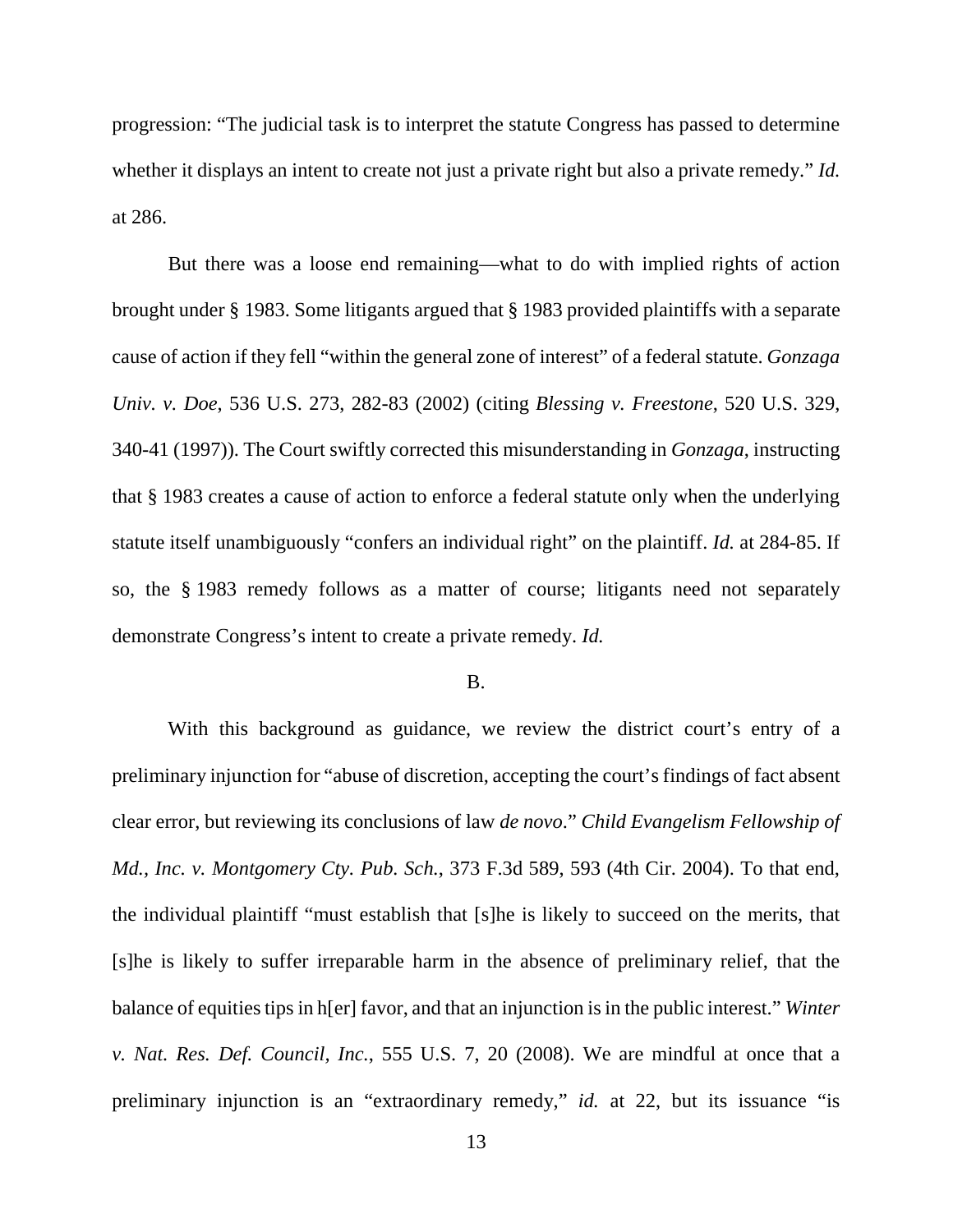progression: "The judicial task is to interpret the statute Congress has passed to determine whether it displays an intent to create not just a private right but also a private remedy." *Id.* at 286.

But there was a loose end remaining—what to do with implied rights of action brought under § 1983. Some litigants argued that § 1983 provided plaintiffs with a separate cause of action if they fell "within the general zone of interest" of a federal statute. *Gonzaga Univ. v. Doe*, 536 U.S. 273, 282-83 (2002) (citing *Blessing v. Freestone*, 520 U.S. 329, 340-41 (1997)). The Court swiftly corrected this misunderstanding in *Gonzaga*, instructing that § 1983 creates a cause of action to enforce a federal statute only when the underlying statute itself unambiguously "confers an individual right" on the plaintiff. *Id.* at 284-85. If so, the § 1983 remedy follows as a matter of course; litigants need not separately demonstrate Congress's intent to create a private remedy. *Id.*

#### B.

With this background as guidance, we review the district court's entry of a preliminary injunction for "abuse of discretion, accepting the court's findings of fact absent clear error, but reviewing its conclusions of law *de novo*." *Child Evangelism Fellowship of Md., Inc. v. Montgomery Cty. Pub. Sch.*, 373 F.3d 589, 593 (4th Cir. 2004). To that end, the individual plaintiff "must establish that [s]he is likely to succeed on the merits, that [s]he is likely to suffer irreparable harm in the absence of preliminary relief, that the balance of equities tips in h[er] favor, and that an injunction is in the public interest." *Winter v. Nat. Res. Def. Council, Inc.*, 555 U.S. 7, 20 (2008). We are mindful at once that a preliminary injunction is an "extraordinary remedy," *id.* at 22, but its issuance "is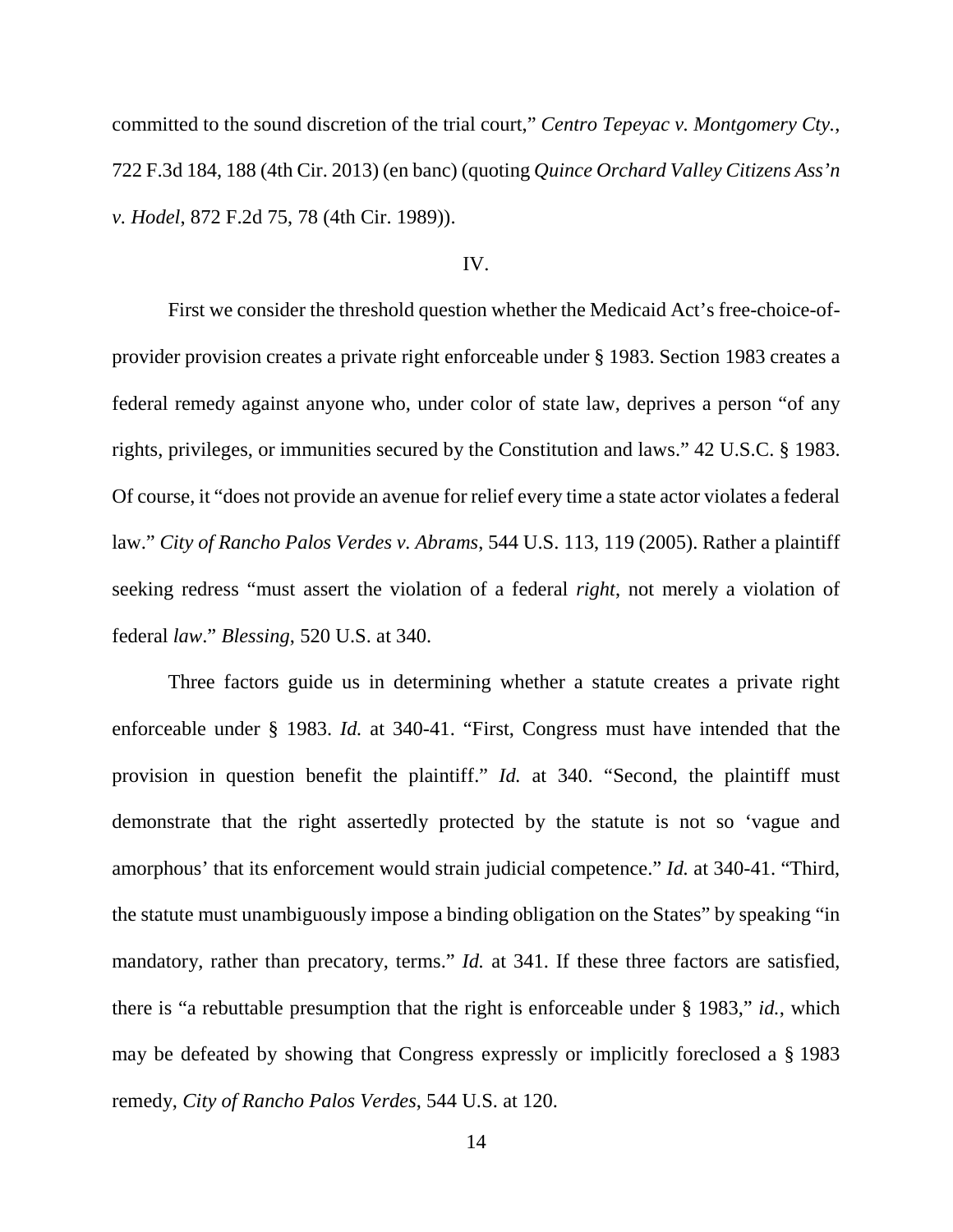committed to the sound discretion of the trial court," *Centro Tepeyac v. Montgomery Cty.*, 722 F.3d 184, 188 (4th Cir. 2013) (en banc) (quoting *Quince Orchard Valley Citizens Ass'n v. Hodel*, 872 F.2d 75, 78 (4th Cir. 1989)).

#### IV.

First we consider the threshold question whether the Medicaid Act's free-choice-ofprovider provision creates a private right enforceable under § 1983. Section 1983 creates a federal remedy against anyone who, under color of state law, deprives a person "of any rights, privileges, or immunities secured by the Constitution and laws." 42 U.S.C. § 1983. Of course, it "does not provide an avenue for relief every time a state actor violates a federal law." *City of Rancho Palos Verdes v. Abrams*, 544 U.S. 113, 119 (2005). Rather a plaintiff seeking redress "must assert the violation of a federal *right*, not merely a violation of federal *law*." *Blessing*, 520 U.S. at 340.

Three factors guide us in determining whether a statute creates a private right enforceable under § 1983. *Id.* at 340-41. "First, Congress must have intended that the provision in question benefit the plaintiff." *Id.* at 340. "Second, the plaintiff must demonstrate that the right assertedly protected by the statute is not so 'vague and amorphous' that its enforcement would strain judicial competence." *Id.* at 340-41. "Third, the statute must unambiguously impose a binding obligation on the States" by speaking "in mandatory, rather than precatory, terms." *Id.* at 341. If these three factors are satisfied, there is "a rebuttable presumption that the right is enforceable under § 1983," *id.*, which may be defeated by showing that Congress expressly or implicitly foreclosed a § 1983 remedy, *City of Rancho Palos Verdes*, 544 U.S. at 120.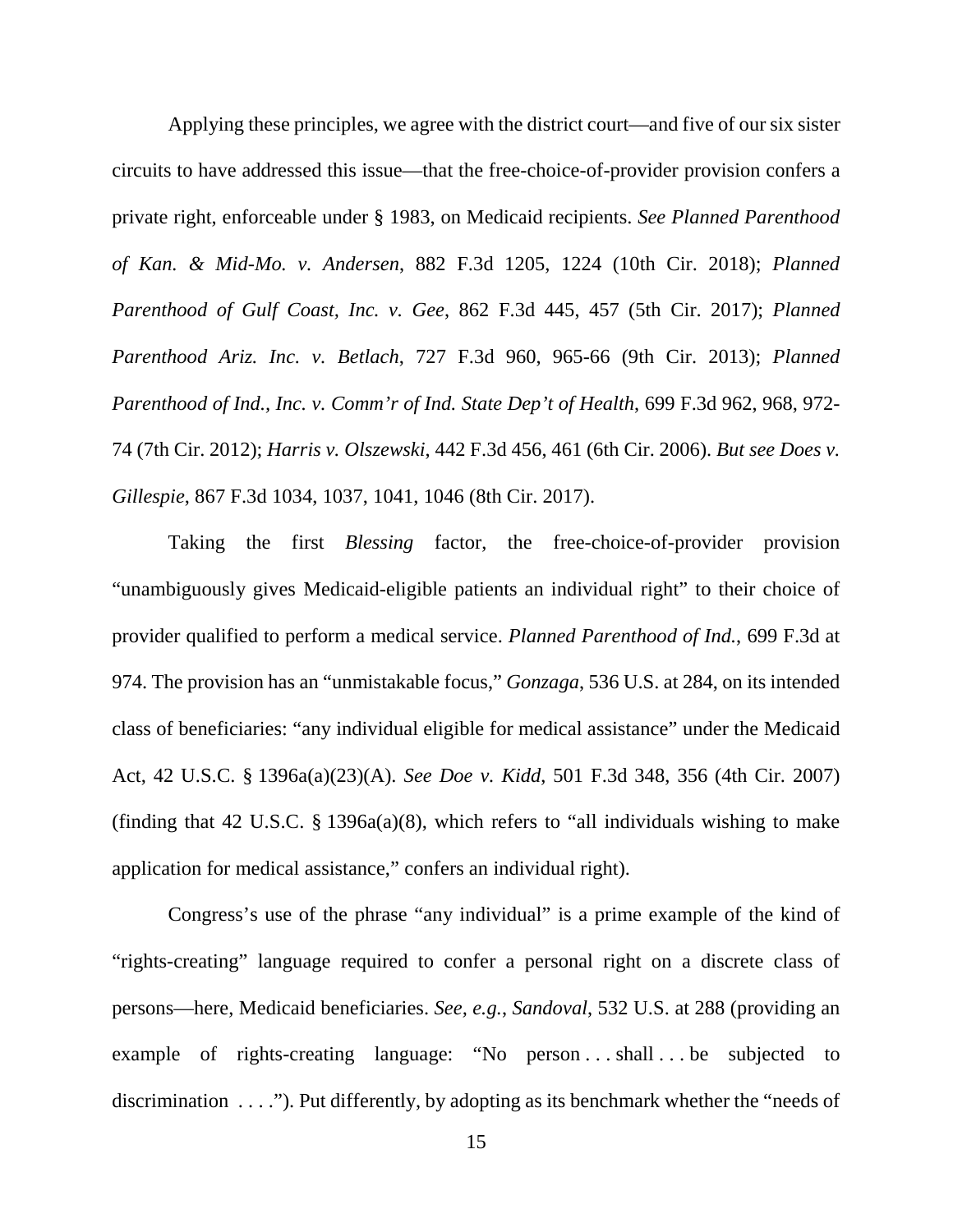Applying these principles, we agree with the district court—and five of our six sister circuits to have addressed this issue—that the free-choice-of-provider provision confers a private right, enforceable under § 1983, on Medicaid recipients. *See Planned Parenthood of Kan. & Mid-Mo. v. Andersen*, 882 F.3d 1205, 1224 (10th Cir. 2018); *Planned Parenthood of Gulf Coast, Inc. v. Gee*, 862 F.3d 445, 457 (5th Cir. 2017); *Planned Parenthood Ariz. Inc. v. Betlach*, 727 F.3d 960, 965-66 (9th Cir. 2013); *Planned Parenthood of Ind., Inc. v. Comm'r of Ind. State Dep't of Health*, 699 F.3d 962, 968, 972- 74 (7th Cir. 2012); *Harris v. Olszewski*, 442 F.3d 456, 461 (6th Cir. 2006). *But see Does v. Gillespie*, 867 F.3d 1034, 1037, 1041, 1046 (8th Cir. 2017).

Taking the first *Blessing* factor, the free-choice-of-provider provision "unambiguously gives Medicaid-eligible patients an individual right" to their choice of provider qualified to perform a medical service. *Planned Parenthood of Ind.*, 699 F.3d at 974. The provision has an "unmistakable focus," *Gonzaga*, 536 U.S. at 284, on its intended class of beneficiaries: "any individual eligible for medical assistance" under the Medicaid Act, 42 U.S.C. § 1396a(a)(23)(A). *See Doe v. Kidd*, 501 F.3d 348, 356 (4th Cir. 2007) (finding that 42 U.S.C. § 1396a(a)(8), which refers to "all individuals wishing to make application for medical assistance," confers an individual right).

Congress's use of the phrase "any individual" is a prime example of the kind of "rights-creating" language required to confer a personal right on a discrete class of persons—here, Medicaid beneficiaries. *See, e.g.*, *Sandoval*, 532 U.S. at 288 (providing an example of rights-creating language: "No person . . . shall . . . be subjected to discrimination  $\dots$ ."). Put differently, by adopting as its benchmark whether the "needs of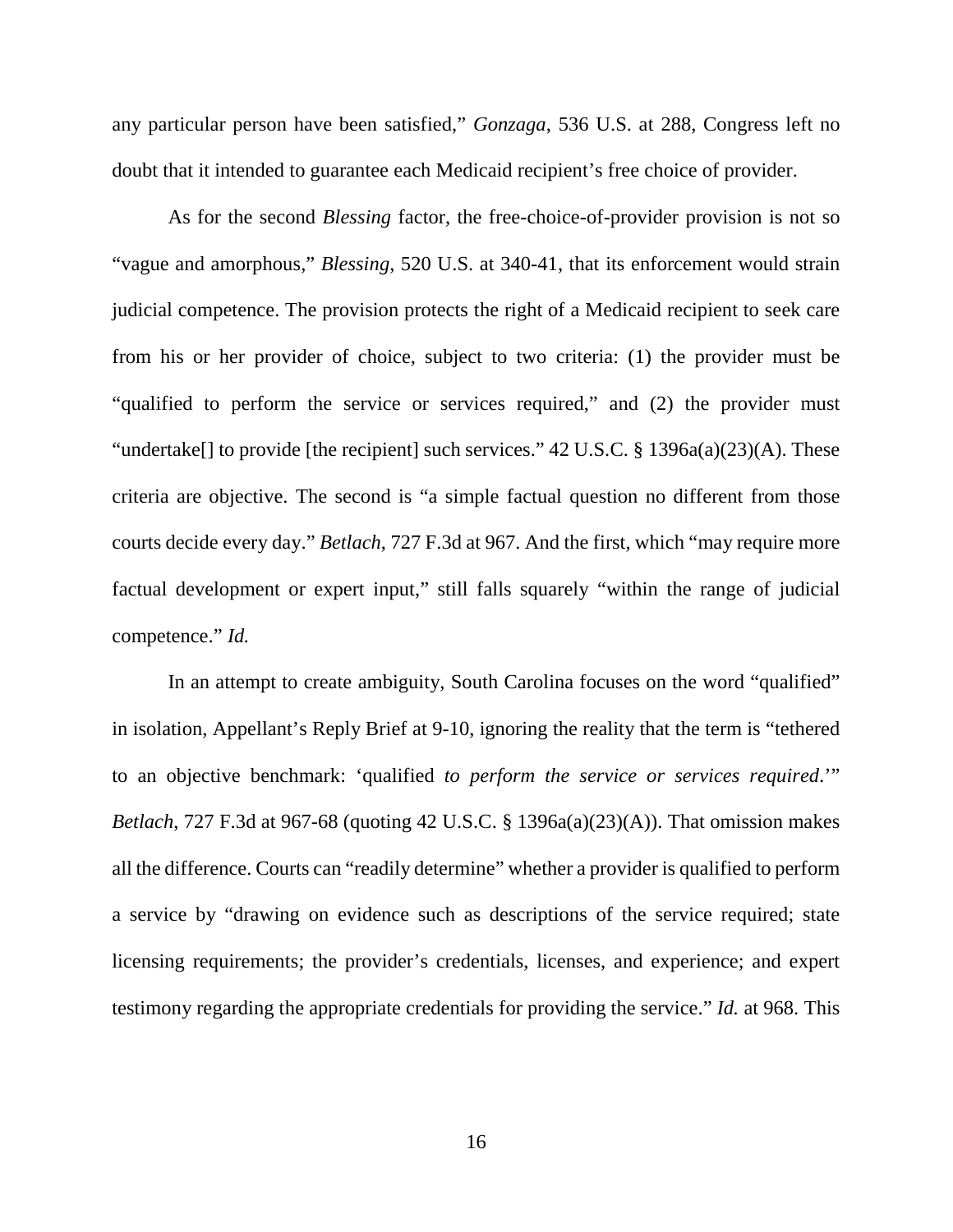any particular person have been satisfied," *Gonzaga*, 536 U.S. at 288, Congress left no doubt that it intended to guarantee each Medicaid recipient's free choice of provider.

As for the second *Blessing* factor, the free-choice-of-provider provision is not so "vague and amorphous," *Blessing*, 520 U.S. at 340-41, that its enforcement would strain judicial competence. The provision protects the right of a Medicaid recipient to seek care from his or her provider of choice, subject to two criteria: (1) the provider must be "qualified to perform the service or services required," and (2) the provider must "undertake<sup>[]</sup> to provide [the recipient] such services." 42 U.S.C. § 1396a(a)(23)(A). These criteria are objective. The second is "a simple factual question no different from those courts decide every day." *Betlach*, 727 F.3d at 967. And the first, which "may require more factual development or expert input," still falls squarely "within the range of judicial competence." *Id.* 

In an attempt to create ambiguity, South Carolina focuses on the word "qualified" in isolation, Appellant's Reply Brief at 9-10, ignoring the reality that the term is "tethered to an objective benchmark: 'qualified *to perform the service or services required*.'" *Betlach*, 727 F.3d at 967-68 (quoting 42 U.S.C. § 1396a(a)(23)(A)). That omission makes all the difference. Courts can "readily determine" whether a provider is qualified to perform a service by "drawing on evidence such as descriptions of the service required; state licensing requirements; the provider's credentials, licenses, and experience; and expert testimony regarding the appropriate credentials for providing the service." *Id.* at 968. This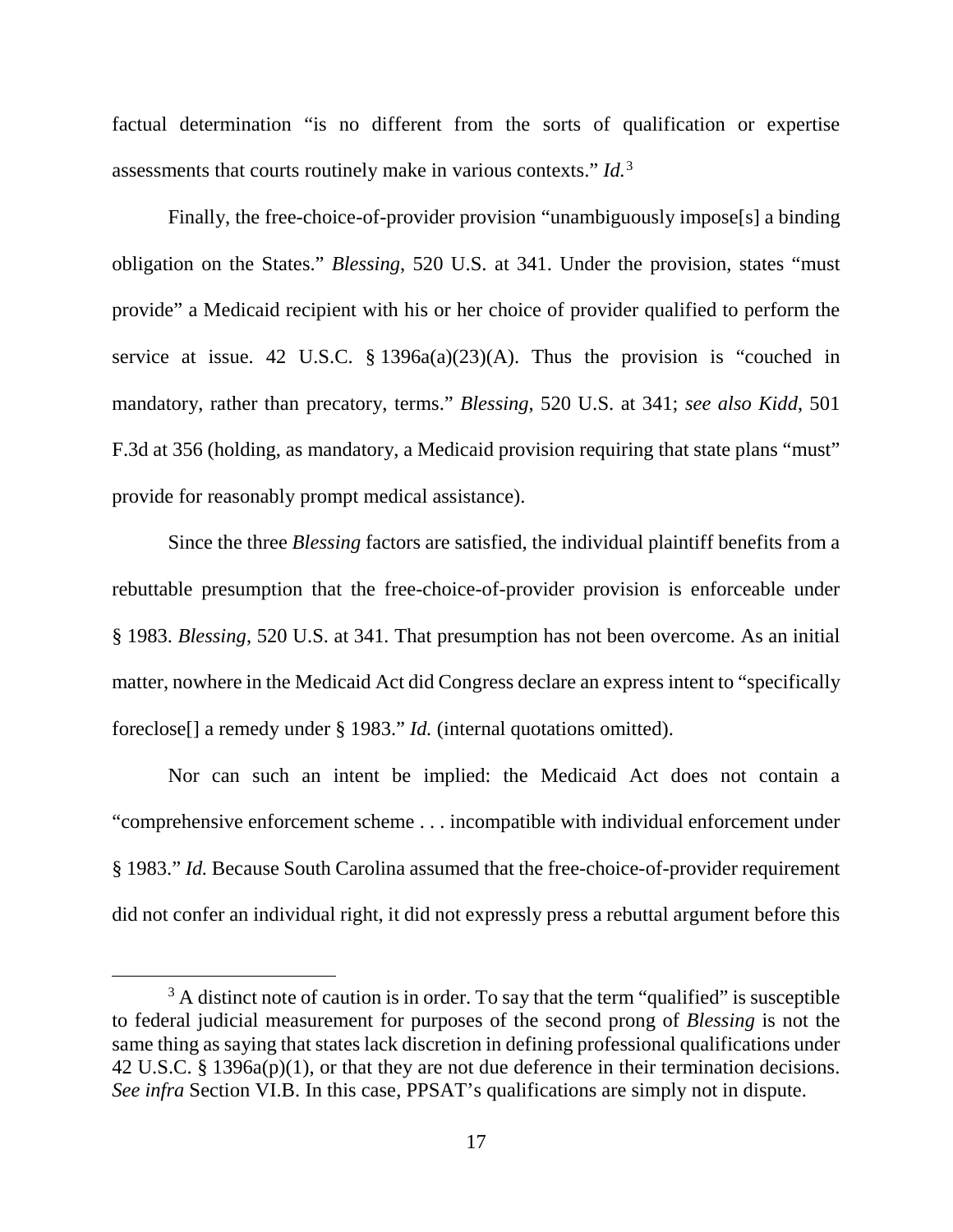factual determination "is no different from the sorts of qualification or expertise assessments that courts routinely make in various contexts." *Id.*[3](#page-16-0)

Finally, the free-choice-of-provider provision "unambiguously impose<sup>[5]</sup> a binding obligation on the States." *Blessing*, 520 U.S. at 341. Under the provision, states "must provide" a Medicaid recipient with his or her choice of provider qualified to perform the service at issue. 42 U.S.C.  $\S$  1396a(a)(23)(A). Thus the provision is "couched in mandatory, rather than precatory, terms." *Blessing*, 520 U.S. at 341; *see also Kidd*, 501 F.3d at 356 (holding, as mandatory, a Medicaid provision requiring that state plans "must" provide for reasonably prompt medical assistance).

Since the three *Blessing* factors are satisfied, the individual plaintiff benefits from a rebuttable presumption that the free-choice-of-provider provision is enforceable under § 1983. *Blessing*, 520 U.S. at 341*.* That presumption has not been overcome. As an initial matter, nowhere in the Medicaid Act did Congress declare an express intent to "specifically foreclose[] a remedy under § 1983." *Id.* (internal quotations omitted).

Nor can such an intent be implied: the Medicaid Act does not contain a "comprehensive enforcement scheme . . . incompatible with individual enforcement under § 1983." *Id.* Because South Carolina assumed that the free-choice-of-provider requirement did not confer an individual right, it did not expressly press a rebuttal argument before this

<span id="page-16-0"></span> $3$  A distinct note of caution is in order. To say that the term "qualified" is susceptible to federal judicial measurement for purposes of the second prong of *Blessing* is not the same thing as saying that states lack discretion in defining professional qualifications under 42 U.S.C. § 1396a(p)(1), or that they are not due deference in their termination decisions. *See infra* Section VI.B. In this case, PPSAT's qualifications are simply not in dispute.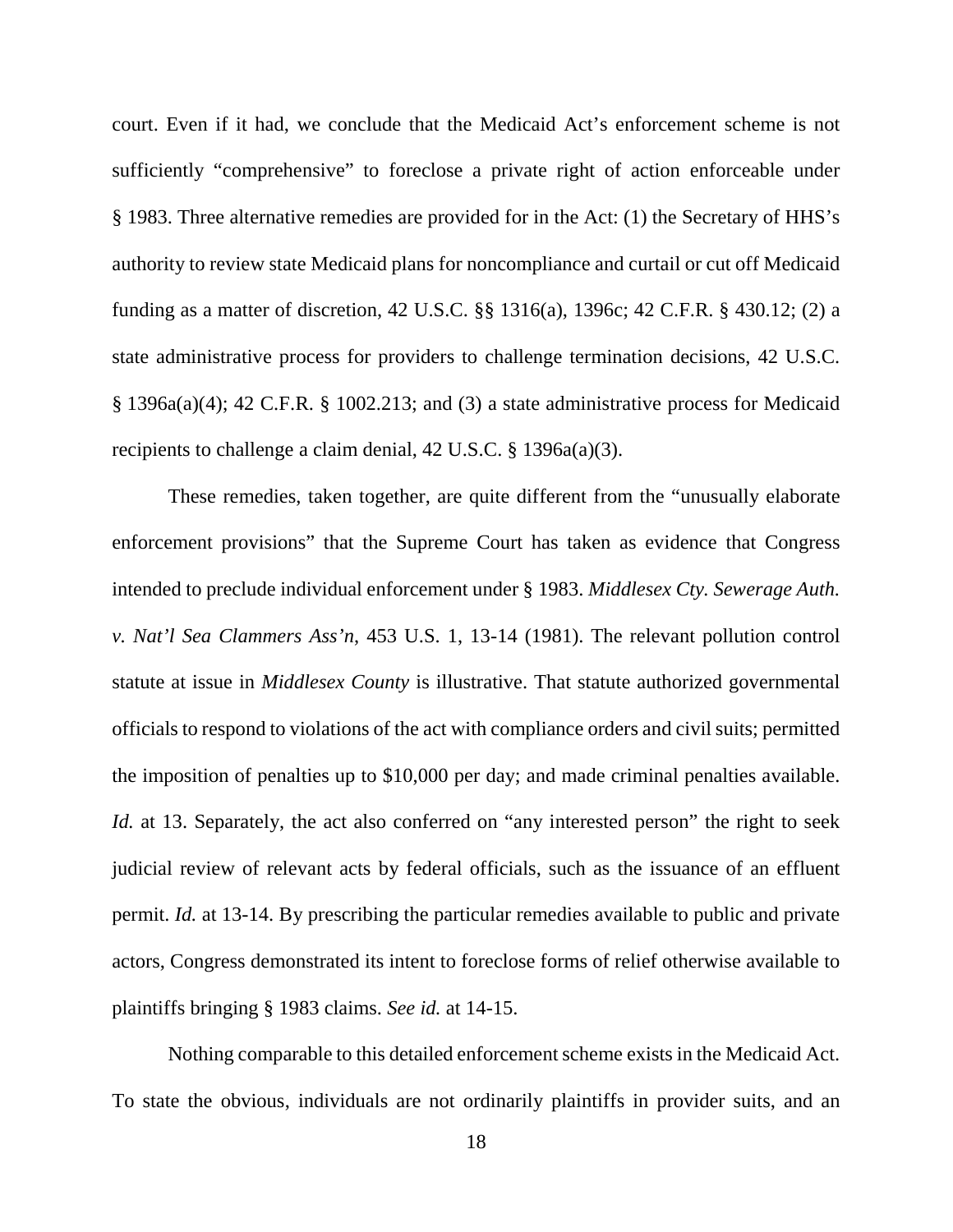court. Even if it had, we conclude that the Medicaid Act's enforcement scheme is not sufficiently "comprehensive" to foreclose a private right of action enforceable under § 1983. Three alternative remedies are provided for in the Act: (1) the Secretary of HHS's authority to review state Medicaid plans for noncompliance and curtail or cut off Medicaid funding as a matter of discretion, 42 U.S.C. §§ 1316(a), 1396c; 42 C.F.R. § 430.12; (2) a state administrative process for providers to challenge termination decisions, 42 U.S.C. § 1396a(a)(4); 42 C.F.R. § 1002.213; and (3) a state administrative process for Medicaid recipients to challenge a claim denial, 42 U.S.C. § 1396a(a)(3).

These remedies, taken together, are quite different from the "unusually elaborate enforcement provisions" that the Supreme Court has taken as evidence that Congress intended to preclude individual enforcement under § 1983. *Middlesex Cty. Sewerage Auth. v. Nat'l Sea Clammers Ass'n*, 453 U.S. 1, 13-14 (1981). The relevant pollution control statute at issue in *Middlesex County* is illustrative. That statute authorized governmental officials to respond to violations of the act with compliance orders and civil suits; permitted the imposition of penalties up to \$10,000 per day; and made criminal penalties available. *Id.* at 13. Separately, the act also conferred on "any interested person" the right to seek judicial review of relevant acts by federal officials, such as the issuance of an effluent permit. *Id.* at 13-14. By prescribing the particular remedies available to public and private actors, Congress demonstrated its intent to foreclose forms of relief otherwise available to plaintiffs bringing § 1983 claims. *See id.* at 14-15.

Nothing comparable to this detailed enforcement scheme exists in the Medicaid Act. To state the obvious, individuals are not ordinarily plaintiffs in provider suits, and an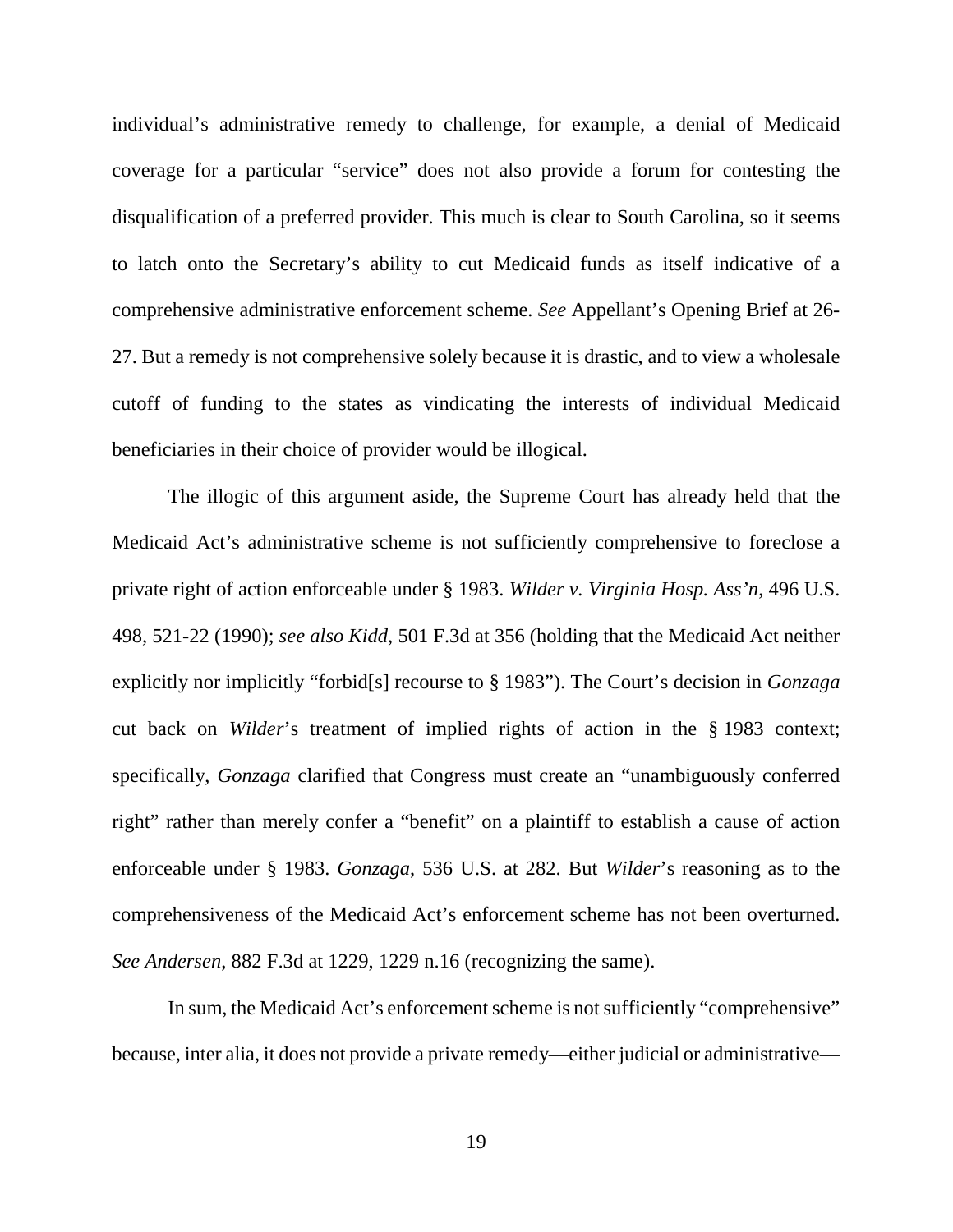individual's administrative remedy to challenge, for example, a denial of Medicaid coverage for a particular "service" does not also provide a forum for contesting the disqualification of a preferred provider. This much is clear to South Carolina, so it seems to latch onto the Secretary's ability to cut Medicaid funds as itself indicative of a comprehensive administrative enforcement scheme. *See* Appellant's Opening Brief at 26- 27. But a remedy is not comprehensive solely because it is drastic, and to view a wholesale cutoff of funding to the states as vindicating the interests of individual Medicaid beneficiaries in their choice of provider would be illogical.

The illogic of this argument aside, the Supreme Court has already held that the Medicaid Act's administrative scheme is not sufficiently comprehensive to foreclose a private right of action enforceable under § 1983. *Wilder v. Virginia Hosp. Ass'n*, 496 U.S. 498, 521-22 (1990); *see also Kidd*, 501 F.3d at 356 (holding that the Medicaid Act neither explicitly nor implicitly "forbid[s] recourse to § 1983"). The Court's decision in *Gonzaga*  cut back on *Wilder*'s treatment of implied rights of action in the § 1983 context; specifically, *Gonzaga* clarified that Congress must create an "unambiguously conferred right" rather than merely confer a "benefit" on a plaintiff to establish a cause of action enforceable under § 1983. *Gonzaga*, 536 U.S. at 282. But *Wilder*'s reasoning as to the comprehensiveness of the Medicaid Act's enforcement scheme has not been overturned. *See Andersen*, 882 F.3d at 1229, 1229 n.16 (recognizing the same).

In sum, the Medicaid Act's enforcement scheme is not sufficiently "comprehensive" because, inter alia, it does not provide a private remedy—either judicial or administrative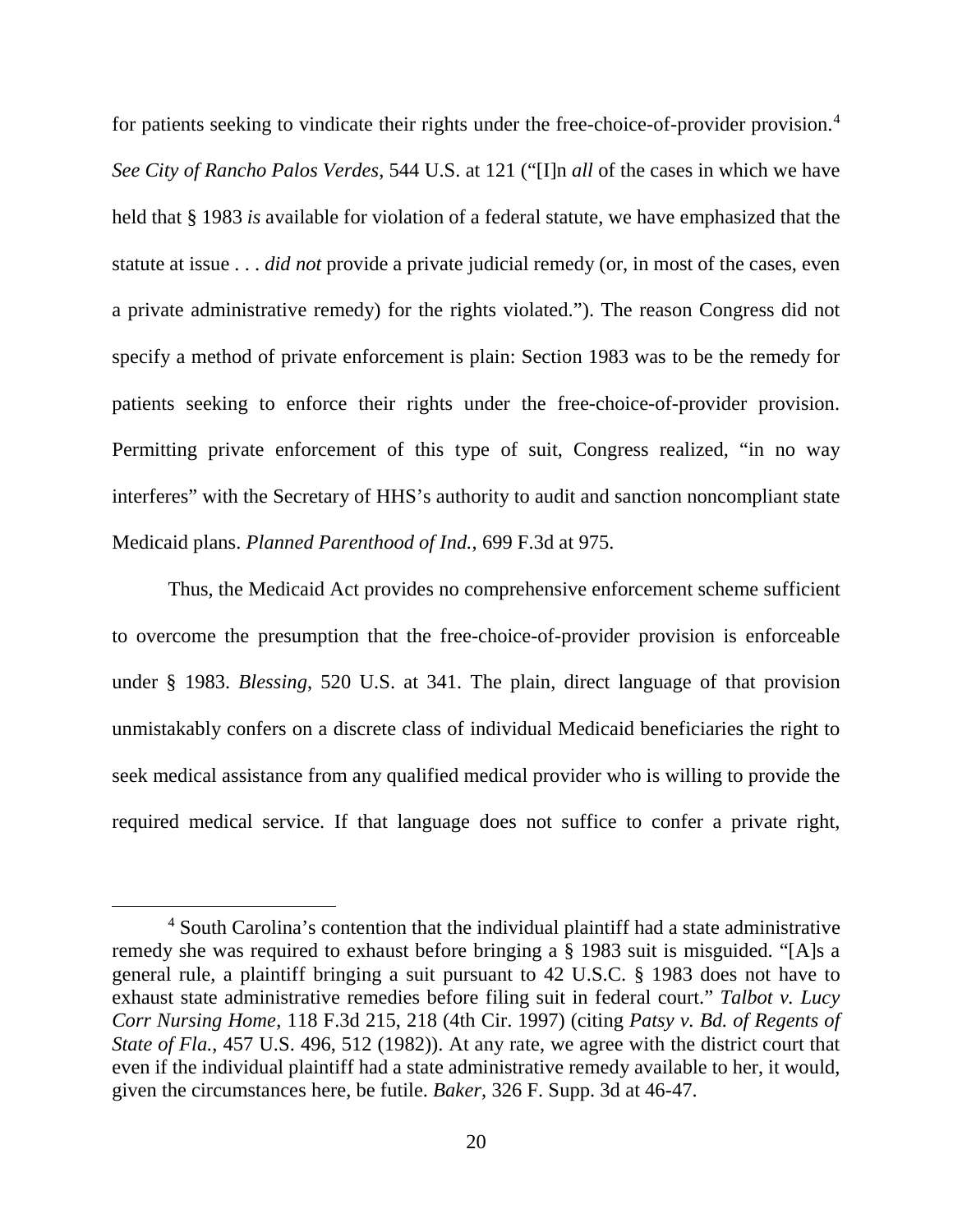for patients seeking to vindicate their rights under the free-choice-of-provider provision.[4](#page-19-0) *See City of Rancho Palos Verdes*, 544 U.S. at 121 ("[I]n *all* of the cases in which we have held that § 1983 *is* available for violation of a federal statute, we have emphasized that the statute at issue . . . *did not* provide a private judicial remedy (or, in most of the cases, even a private administrative remedy) for the rights violated."). The reason Congress did not specify a method of private enforcement is plain: Section 1983 was to be the remedy for patients seeking to enforce their rights under the free-choice-of-provider provision. Permitting private enforcement of this type of suit, Congress realized, "in no way interferes" with the Secretary of HHS's authority to audit and sanction noncompliant state Medicaid plans. *Planned Parenthood of Ind.*, 699 F.3d at 975.

Thus, the Medicaid Act provides no comprehensive enforcement scheme sufficient to overcome the presumption that the free-choice-of-provider provision is enforceable under § 1983. *Blessing*, 520 U.S. at 341. The plain, direct language of that provision unmistakably confers on a discrete class of individual Medicaid beneficiaries the right to seek medical assistance from any qualified medical provider who is willing to provide the required medical service. If that language does not suffice to confer a private right,

<span id="page-19-0"></span> <sup>4</sup> South Carolina's contention that the individual plaintiff had a state administrative remedy she was required to exhaust before bringing a § 1983 suit is misguided. "[A]s a general rule, a plaintiff bringing a suit pursuant to 42 U.S.C. § 1983 does not have to exhaust state administrative remedies before filing suit in federal court." *Talbot v. Lucy Corr Nursing Home*, 118 F.3d 215, 218 (4th Cir. 1997) (citing *Patsy v. Bd. of Regents of State of Fla.*, 457 U.S. 496, 512 (1982)). At any rate, we agree with the district court that even if the individual plaintiff had a state administrative remedy available to her, it would, given the circumstances here, be futile. *Baker*, 326 F. Supp. 3d at 46-47.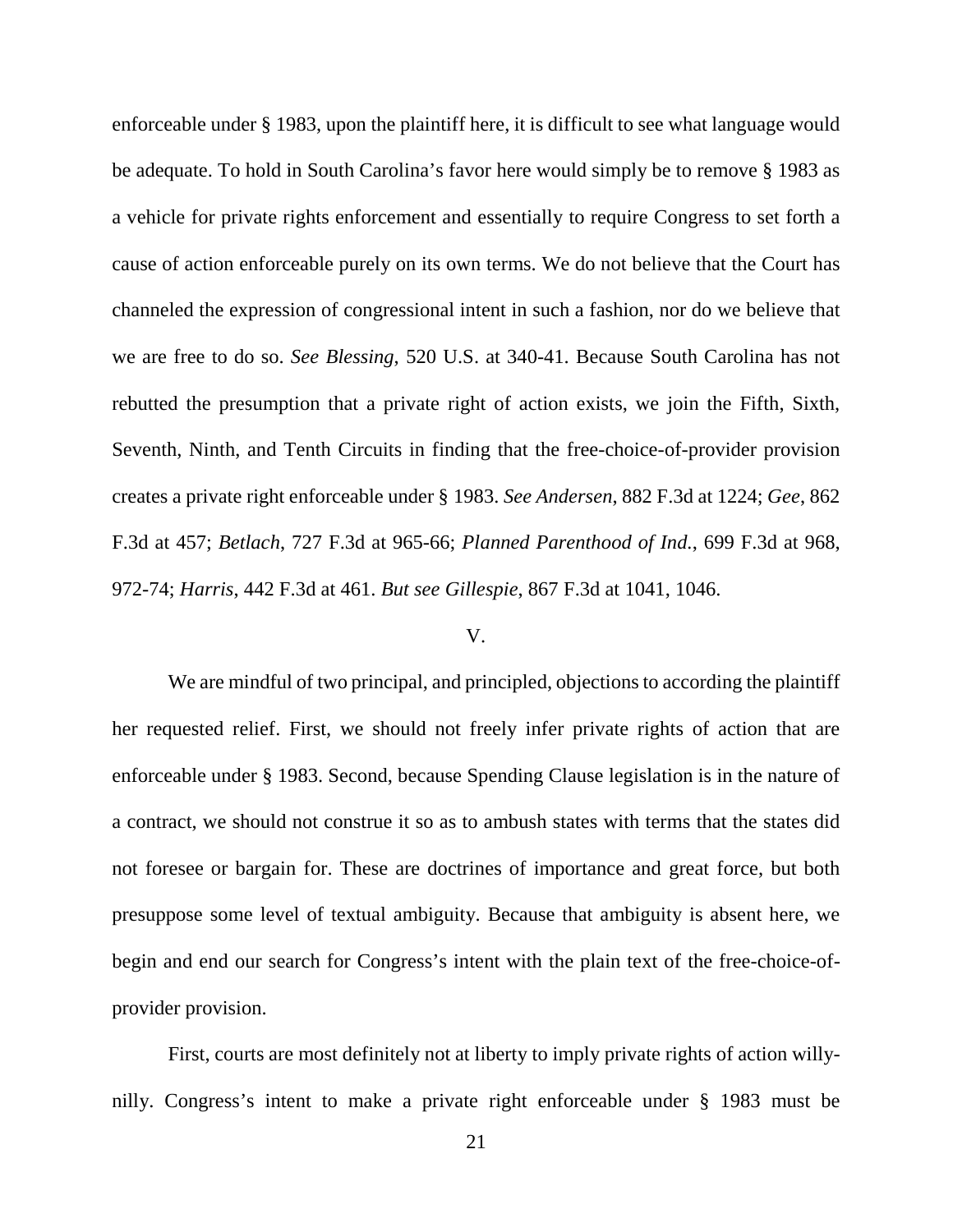enforceable under § 1983, upon the plaintiff here, it is difficult to see what language would be adequate. To hold in South Carolina's favor here would simply be to remove § 1983 as a vehicle for private rights enforcement and essentially to require Congress to set forth a cause of action enforceable purely on its own terms. We do not believe that the Court has channeled the expression of congressional intent in such a fashion, nor do we believe that we are free to do so. *See Blessing*, 520 U.S. at 340-41. Because South Carolina has not rebutted the presumption that a private right of action exists, we join the Fifth, Sixth, Seventh, Ninth, and Tenth Circuits in finding that the free-choice-of-provider provision creates a private right enforceable under § 1983. *See Andersen*, 882 F.3d at 1224; *Gee*, 862 F.3d at 457; *Betlach*, 727 F.3d at 965-66; *Planned Parenthood of Ind.*, 699 F.3d at 968, 972-74; *Harris*, 442 F.3d at 461. *But see Gillespie*, 867 F.3d at 1041, 1046.

## V.

We are mindful of two principal, and principled, objections to according the plaintiff her requested relief. First, we should not freely infer private rights of action that are enforceable under § 1983. Second, because Spending Clause legislation is in the nature of a contract, we should not construe it so as to ambush states with terms that the states did not foresee or bargain for. These are doctrines of importance and great force, but both presuppose some level of textual ambiguity. Because that ambiguity is absent here, we begin and end our search for Congress's intent with the plain text of the free-choice-ofprovider provision.

First, courts are most definitely not at liberty to imply private rights of action willynilly. Congress's intent to make a private right enforceable under § 1983 must be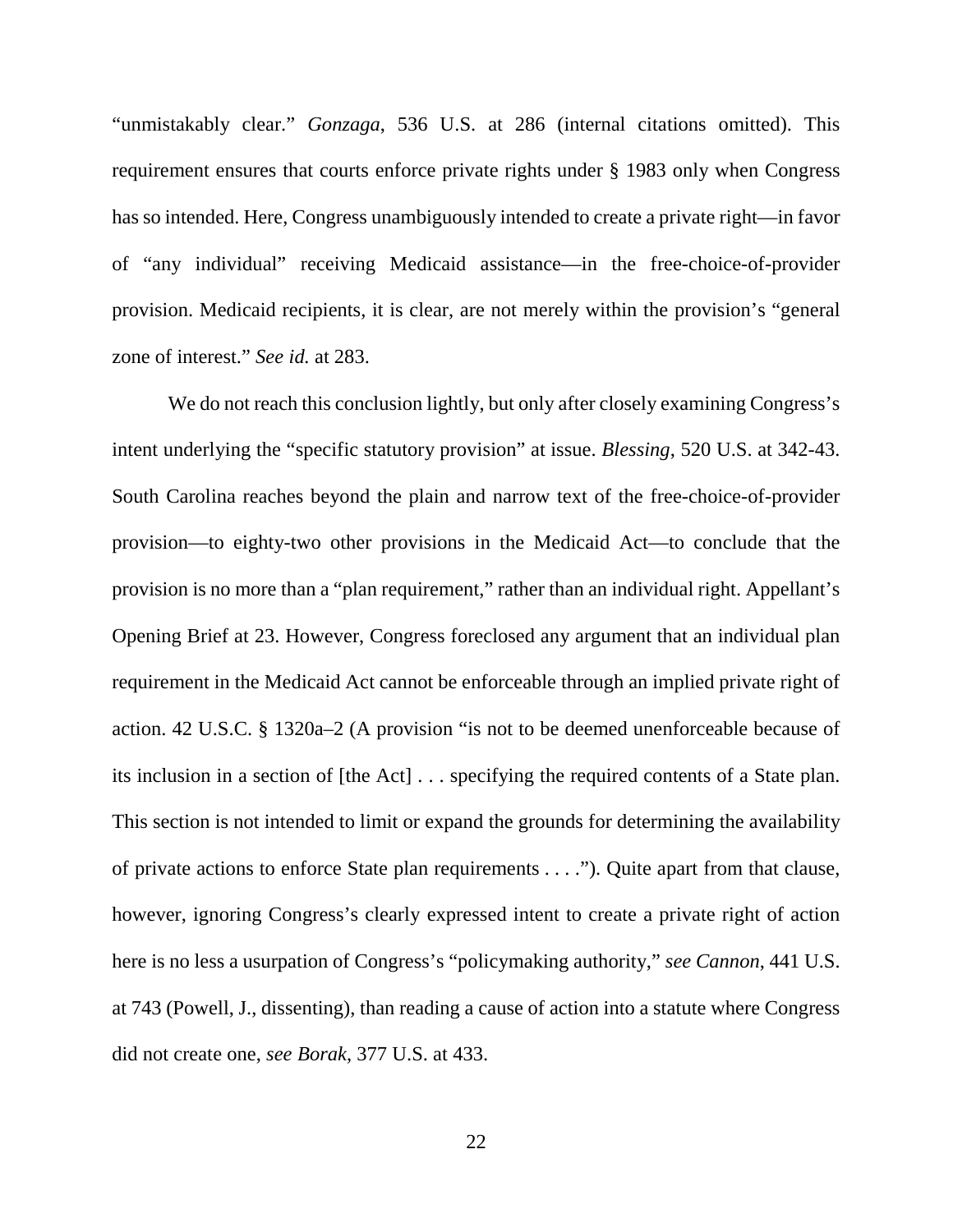"unmistakably clear." *Gonzaga*, 536 U.S. at 286 (internal citations omitted). This requirement ensures that courts enforce private rights under § 1983 only when Congress has so intended. Here, Congress unambiguously intended to create a private right—in favor of "any individual" receiving Medicaid assistance—in the free-choice-of-provider provision. Medicaid recipients, it is clear, are not merely within the provision's "general zone of interest." *See id.* at 283.

We do not reach this conclusion lightly, but only after closely examining Congress's intent underlying the "specific statutory provision" at issue. *Blessing*, 520 U.S. at 342-43. South Carolina reaches beyond the plain and narrow text of the free-choice-of-provider provision—to eighty-two other provisions in the Medicaid Act—to conclude that the provision is no more than a "plan requirement," rather than an individual right. Appellant's Opening Brief at 23. However, Congress foreclosed any argument that an individual plan requirement in the Medicaid Act cannot be enforceable through an implied private right of action. 42 U.S.C. § 1320a–2 (A provision "is not to be deemed unenforceable because of its inclusion in a section of [the Act] . . . specifying the required contents of a State plan. This section is not intended to limit or expand the grounds for determining the availability of private actions to enforce State plan requirements . . . ."). Quite apart from that clause, however, ignoring Congress's clearly expressed intent to create a private right of action here is no less a usurpation of Congress's "policymaking authority," *see Cannon*, 441 U.S. at 743 (Powell, J., dissenting), than reading a cause of action into a statute where Congress did not create one, *see Borak*, 377 U.S. at 433.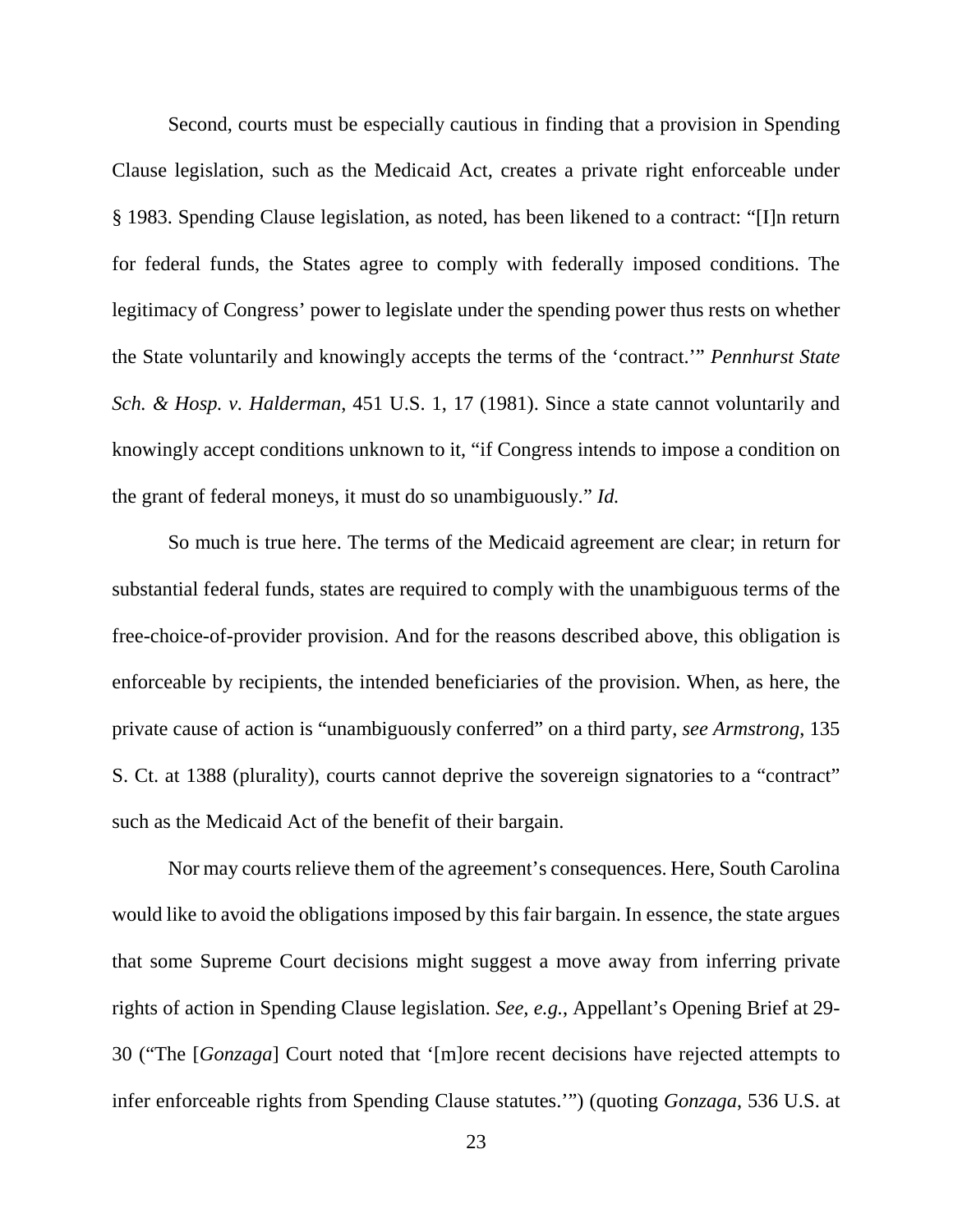Second, courts must be especially cautious in finding that a provision in Spending Clause legislation, such as the Medicaid Act, creates a private right enforceable under § 1983. Spending Clause legislation, as noted, has been likened to a contract: "[I]n return for federal funds, the States agree to comply with federally imposed conditions. The legitimacy of Congress' power to legislate under the spending power thus rests on whether the State voluntarily and knowingly accepts the terms of the 'contract.'" *Pennhurst State Sch. & Hosp. v. Halderman*, 451 U.S. 1, 17 (1981). Since a state cannot voluntarily and knowingly accept conditions unknown to it, "if Congress intends to impose a condition on the grant of federal moneys, it must do so unambiguously." *Id.*

So much is true here. The terms of the Medicaid agreement are clear; in return for substantial federal funds, states are required to comply with the unambiguous terms of the free-choice-of-provider provision. And for the reasons described above, this obligation is enforceable by recipients, the intended beneficiaries of the provision. When, as here, the private cause of action is "unambiguously conferred" on a third party, *see Armstrong*, 135 S. Ct. at 1388 (plurality), courts cannot deprive the sovereign signatories to a "contract" such as the Medicaid Act of the benefit of their bargain.

Nor may courts relieve them of the agreement's consequences. Here, South Carolina would like to avoid the obligations imposed by this fair bargain. In essence, the state argues that some Supreme Court decisions might suggest a move away from inferring private rights of action in Spending Clause legislation. *See, e.g.*, Appellant's Opening Brief at 29- 30 ("The [*Gonzaga*] Court noted that '[m]ore recent decisions have rejected attempts to infer enforceable rights from Spending Clause statutes.'") (quoting *Gonzaga*, 536 U.S. at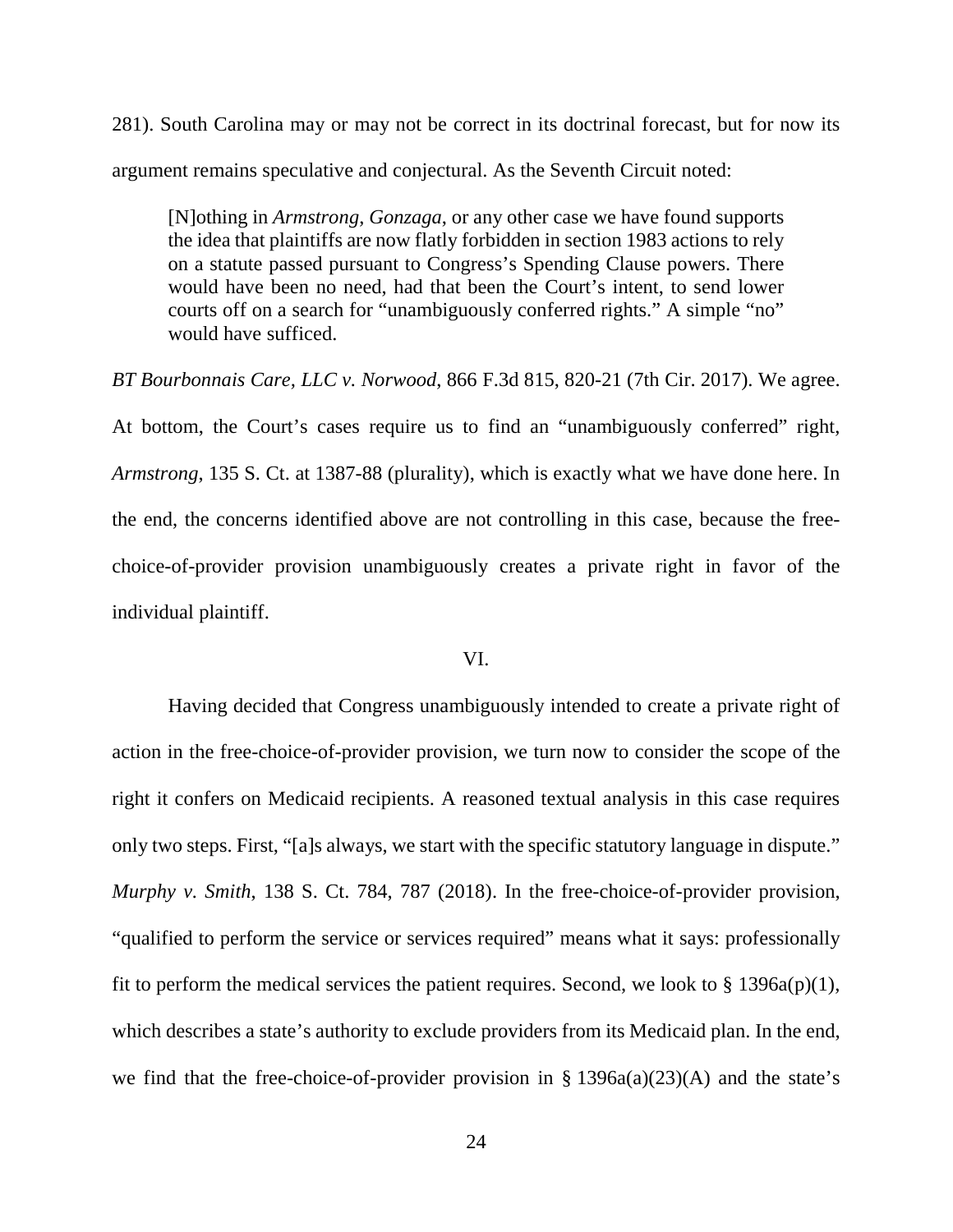281). South Carolina may or may not be correct in its doctrinal forecast, but for now its argument remains speculative and conjectural. As the Seventh Circuit noted:

[N]othing in *Armstrong*, *Gonzaga*, or any other case we have found supports the idea that plaintiffs are now flatly forbidden in section 1983 actions to rely on a statute passed pursuant to Congress's Spending Clause powers. There would have been no need, had that been the Court's intent, to send lower courts off on a search for "unambiguously conferred rights." A simple "no" would have sufficed.

*BT Bourbonnais Care, LLC v. Norwood*, 866 F.3d 815, 820-21 (7th Cir. 2017). We agree. At bottom, the Court's cases require us to find an "unambiguously conferred" right, *Armstrong*, 135 S. Ct. at 1387-88 (plurality), which is exactly what we have done here. In the end, the concerns identified above are not controlling in this case, because the freechoice-of-provider provision unambiguously creates a private right in favor of the individual plaintiff.

## VI.

Having decided that Congress unambiguously intended to create a private right of action in the free-choice-of-provider provision, we turn now to consider the scope of the right it confers on Medicaid recipients. A reasoned textual analysis in this case requires only two steps. First, "[a]s always, we start with the specific statutory language in dispute." *Murphy v. Smith*, 138 S. Ct. 784, 787 (2018). In the free-choice-of-provider provision, "qualified to perform the service or services required" means what it says: professionally fit to perform the medical services the patient requires. Second, we look to  $\S 1396a(p)(1)$ , which describes a state's authority to exclude providers from its Medicaid plan. In the end, we find that the free-choice-of-provider provision in  $\S$  1396a(a)(23)(A) and the state's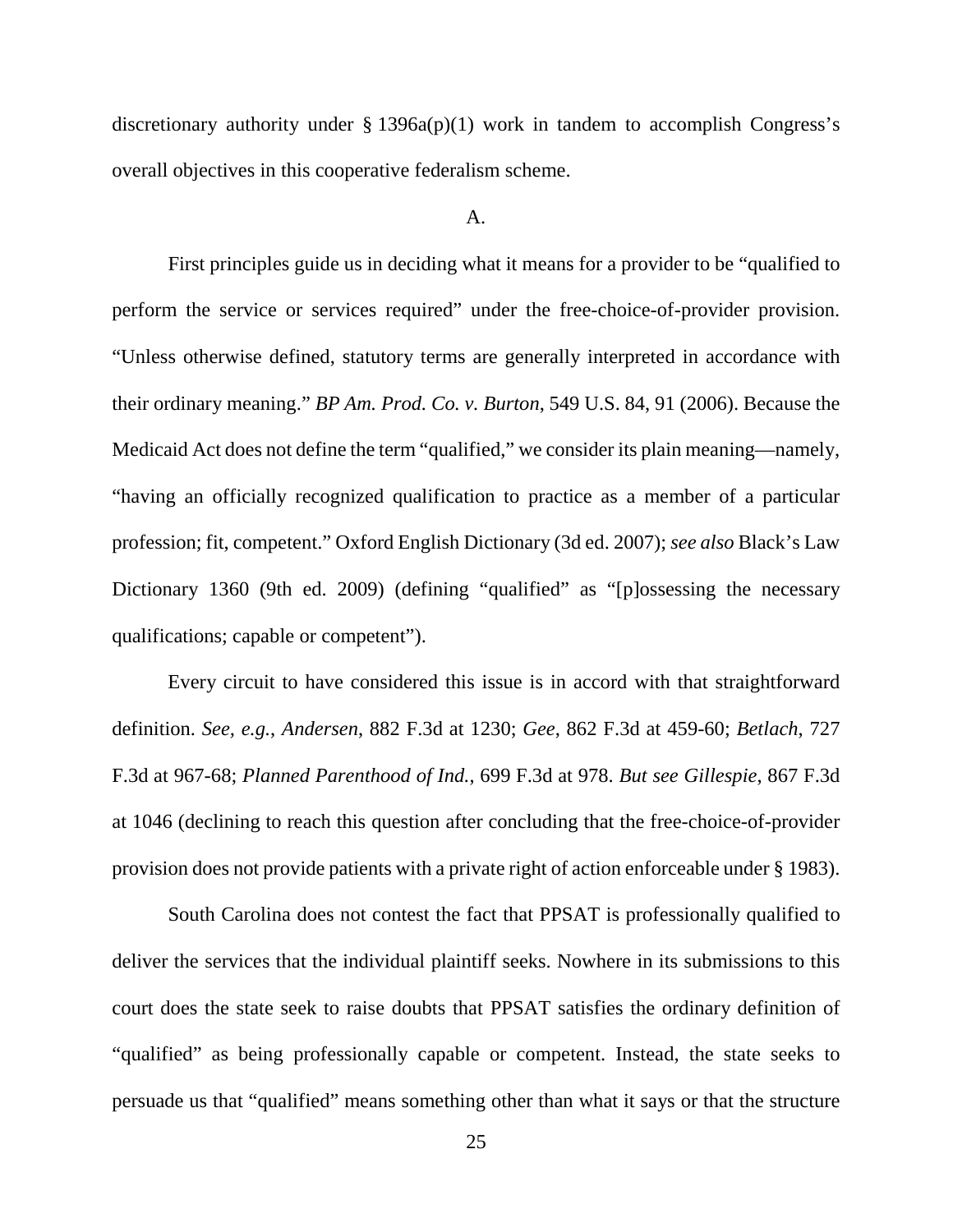discretionary authority under  $\S 1396a(p)(1)$  work in tandem to accomplish Congress's overall objectives in this cooperative federalism scheme.

## A.

First principles guide us in deciding what it means for a provider to be "qualified to perform the service or services required" under the free-choice-of-provider provision. "Unless otherwise defined, statutory terms are generally interpreted in accordance with their ordinary meaning." *BP Am. Prod. Co. v. Burton*, 549 U.S. 84, 91 (2006). Because the Medicaid Act does not define the term "qualified," we consider its plain meaning—namely, "having an officially recognized qualification to practice as a member of a particular profession; fit, competent." Oxford English Dictionary (3d ed. 2007); *see also* Black's Law Dictionary 1360 (9th ed. 2009) (defining "qualified" as "[p]ossessing the necessary qualifications; capable or competent").

Every circuit to have considered this issue is in accord with that straightforward definition. *See, e.g.*, *Andersen*, 882 F.3d at 1230; *Gee*, 862 F.3d at 459-60; *Betlach*, 727 F.3d at 967-68; *Planned Parenthood of Ind.*, 699 F.3d at 978. *But see Gillespie*, 867 F.3d at 1046 (declining to reach this question after concluding that the free-choice-of-provider provision does not provide patients with a private right of action enforceable under § 1983).

South Carolina does not contest the fact that PPSAT is professionally qualified to deliver the services that the individual plaintiff seeks. Nowhere in its submissions to this court does the state seek to raise doubts that PPSAT satisfies the ordinary definition of "qualified" as being professionally capable or competent. Instead, the state seeks to persuade us that "qualified" means something other than what it says or that the structure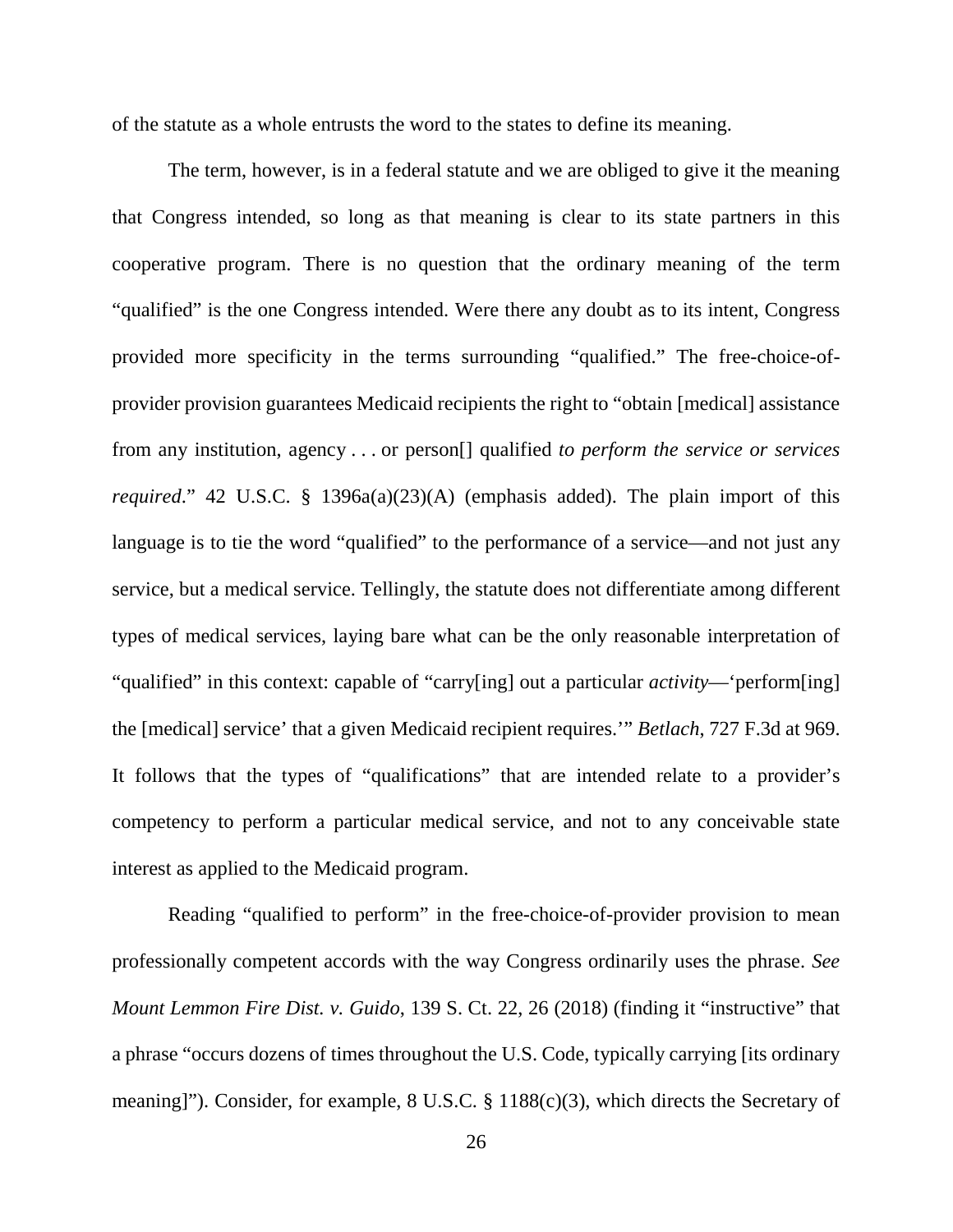of the statute as a whole entrusts the word to the states to define its meaning.

The term, however, is in a federal statute and we are obliged to give it the meaning that Congress intended, so long as that meaning is clear to its state partners in this cooperative program. There is no question that the ordinary meaning of the term "qualified" is the one Congress intended. Were there any doubt as to its intent, Congress provided more specificity in the terms surrounding "qualified." The free-choice-ofprovider provision guarantees Medicaid recipients the right to "obtain [medical] assistance from any institution, agency . . . or person[] qualified *to perform the service or services required*." 42 U.S.C. § 1396a(a)(23)(A) (emphasis added). The plain import of this language is to tie the word "qualified" to the performance of a service—and not just any service, but a medical service. Tellingly, the statute does not differentiate among different types of medical services, laying bare what can be the only reasonable interpretation of "qualified" in this context: capable of "carry[ing] out a particular *activity*—'perform[ing] the [medical] service' that a given Medicaid recipient requires.'" *Betlach*, 727 F.3d at 969. It follows that the types of "qualifications" that are intended relate to a provider's competency to perform a particular medical service, and not to any conceivable state interest as applied to the Medicaid program.

Reading "qualified to perform" in the free-choice-of-provider provision to mean professionally competent accords with the way Congress ordinarily uses the phrase. *See Mount Lemmon Fire Dist. v. Guido*, 139 S. Ct. 22, 26 (2018) (finding it "instructive" that a phrase "occurs dozens of times throughout the U.S. Code, typically carrying [its ordinary meaning]"). Consider, for example, 8 U.S.C. § 1188(c)(3), which directs the Secretary of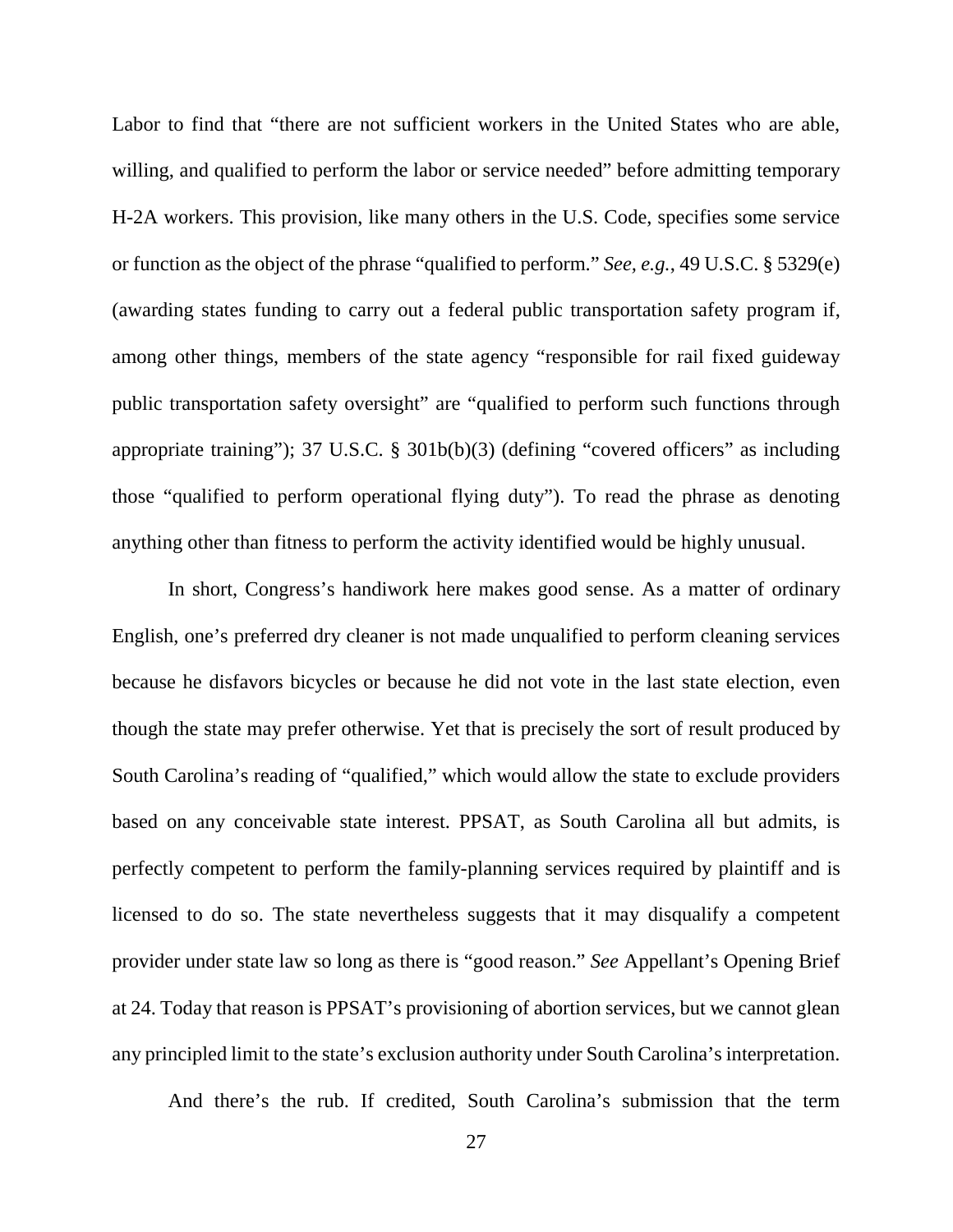Labor to find that "there are not sufficient workers in the United States who are able, willing, and qualified to perform the labor or service needed" before admitting temporary H-2A workers. This provision, like many others in the U.S. Code, specifies some service or function as the object of the phrase "qualified to perform." *See, e.g.*, 49 U.S.C. § 5329(e) (awarding states funding to carry out a federal public transportation safety program if, among other things, members of the state agency "responsible for rail fixed guideway public transportation safety oversight" are "qualified to perform such functions through appropriate training"); 37 U.S.C. § 301b(b)(3) (defining "covered officers" as including those "qualified to perform operational flying duty"). To read the phrase as denoting anything other than fitness to perform the activity identified would be highly unusual.

In short, Congress's handiwork here makes good sense. As a matter of ordinary English, one's preferred dry cleaner is not made unqualified to perform cleaning services because he disfavors bicycles or because he did not vote in the last state election, even though the state may prefer otherwise. Yet that is precisely the sort of result produced by South Carolina's reading of "qualified," which would allow the state to exclude providers based on any conceivable state interest. PPSAT, as South Carolina all but admits, is perfectly competent to perform the family-planning services required by plaintiff and is licensed to do so. The state nevertheless suggests that it may disqualify a competent provider under state law so long as there is "good reason." *See* Appellant's Opening Brief at 24. Today that reason is PPSAT's provisioning of abortion services, but we cannot glean any principled limit to the state's exclusion authority under South Carolina's interpretation.

And there's the rub. If credited, South Carolina's submission that the term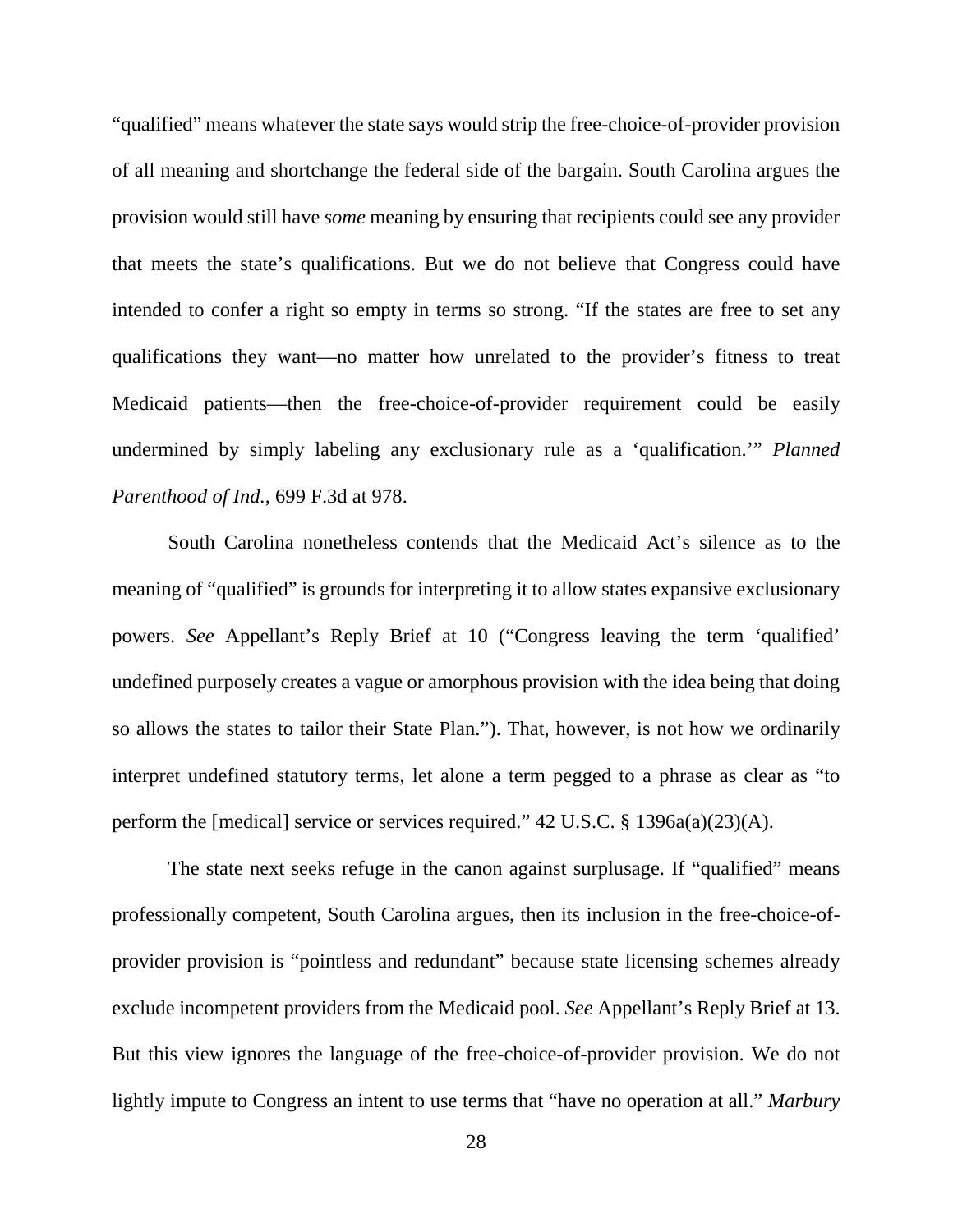"qualified" means whatever the state says would strip the free-choice-of-provider provision of all meaning and shortchange the federal side of the bargain. South Carolina argues the provision would still have *some* meaning by ensuring that recipients could see any provider that meets the state's qualifications. But we do not believe that Congress could have intended to confer a right so empty in terms so strong. "If the states are free to set any qualifications they want—no matter how unrelated to the provider's fitness to treat Medicaid patients—then the free-choice-of-provider requirement could be easily undermined by simply labeling any exclusionary rule as a 'qualification.'" *Planned Parenthood of Ind.*, 699 F.3d at 978.

South Carolina nonetheless contends that the Medicaid Act's silence as to the meaning of "qualified" is grounds for interpreting it to allow states expansive exclusionary powers. *See* Appellant's Reply Brief at 10 ("Congress leaving the term 'qualified' undefined purposely creates a vague or amorphous provision with the idea being that doing so allows the states to tailor their State Plan."). That, however, is not how we ordinarily interpret undefined statutory terms, let alone a term pegged to a phrase as clear as "to perform the [medical] service or services required." 42 U.S.C. § 1396a(a)(23)(A).

The state next seeks refuge in the canon against surplusage. If "qualified" means professionally competent, South Carolina argues, then its inclusion in the free-choice-ofprovider provision is "pointless and redundant" because state licensing schemes already exclude incompetent providers from the Medicaid pool. *See* Appellant's Reply Brief at 13. But this view ignores the language of the free-choice-of-provider provision. We do not lightly impute to Congress an intent to use terms that "have no operation at all." *Marbury*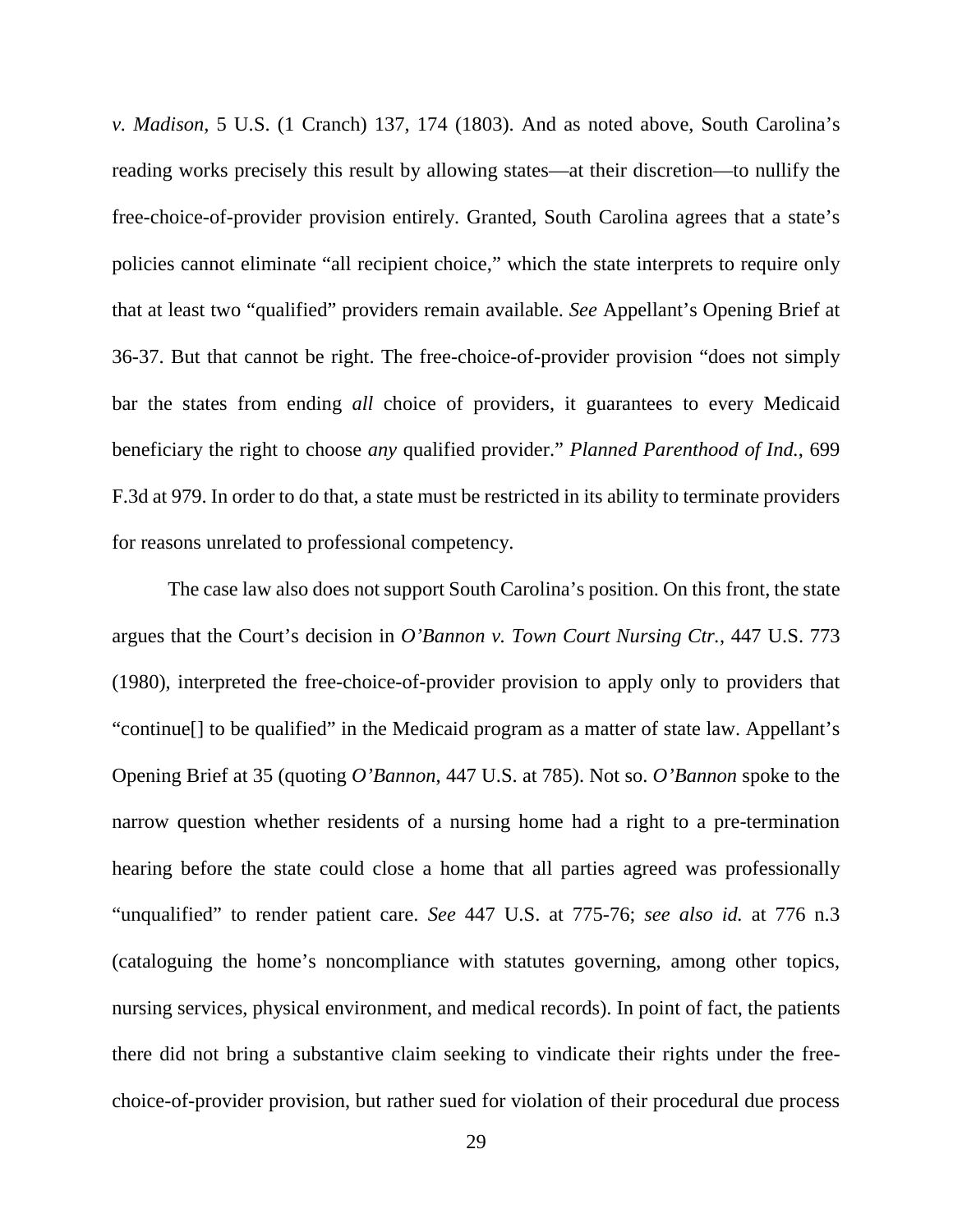*v. Madison*, 5 U.S. (1 Cranch) 137, 174 (1803). And as noted above, South Carolina's reading works precisely this result by allowing states—at their discretion—to nullify the free-choice-of-provider provision entirely. Granted, South Carolina agrees that a state's policies cannot eliminate "all recipient choice," which the state interprets to require only that at least two "qualified" providers remain available. *See* Appellant's Opening Brief at 36-37. But that cannot be right. The free-choice-of-provider provision "does not simply bar the states from ending *all* choice of providers, it guarantees to every Medicaid beneficiary the right to choose *any* qualified provider." *Planned Parenthood of Ind.*, 699 F.3d at 979. In order to do that, a state must be restricted in its ability to terminate providers for reasons unrelated to professional competency.

The case law also does not support South Carolina's position. On this front, the state argues that the Court's decision in *O'Bannon v. Town Court Nursing Ctr.*, 447 U.S. 773 (1980), interpreted the free-choice-of-provider provision to apply only to providers that "continue[] to be qualified" in the Medicaid program as a matter of state law. Appellant's Opening Brief at 35 (quoting *O'Bannon*, 447 U.S. at 785). Not so. *O'Bannon* spoke to the narrow question whether residents of a nursing home had a right to a pre-termination hearing before the state could close a home that all parties agreed was professionally "unqualified" to render patient care. *See* 447 U.S. at 775-76; *see also id.* at 776 n.3 (cataloguing the home's noncompliance with statutes governing, among other topics, nursing services, physical environment, and medical records). In point of fact, the patients there did not bring a substantive claim seeking to vindicate their rights under the freechoice-of-provider provision, but rather sued for violation of their procedural due process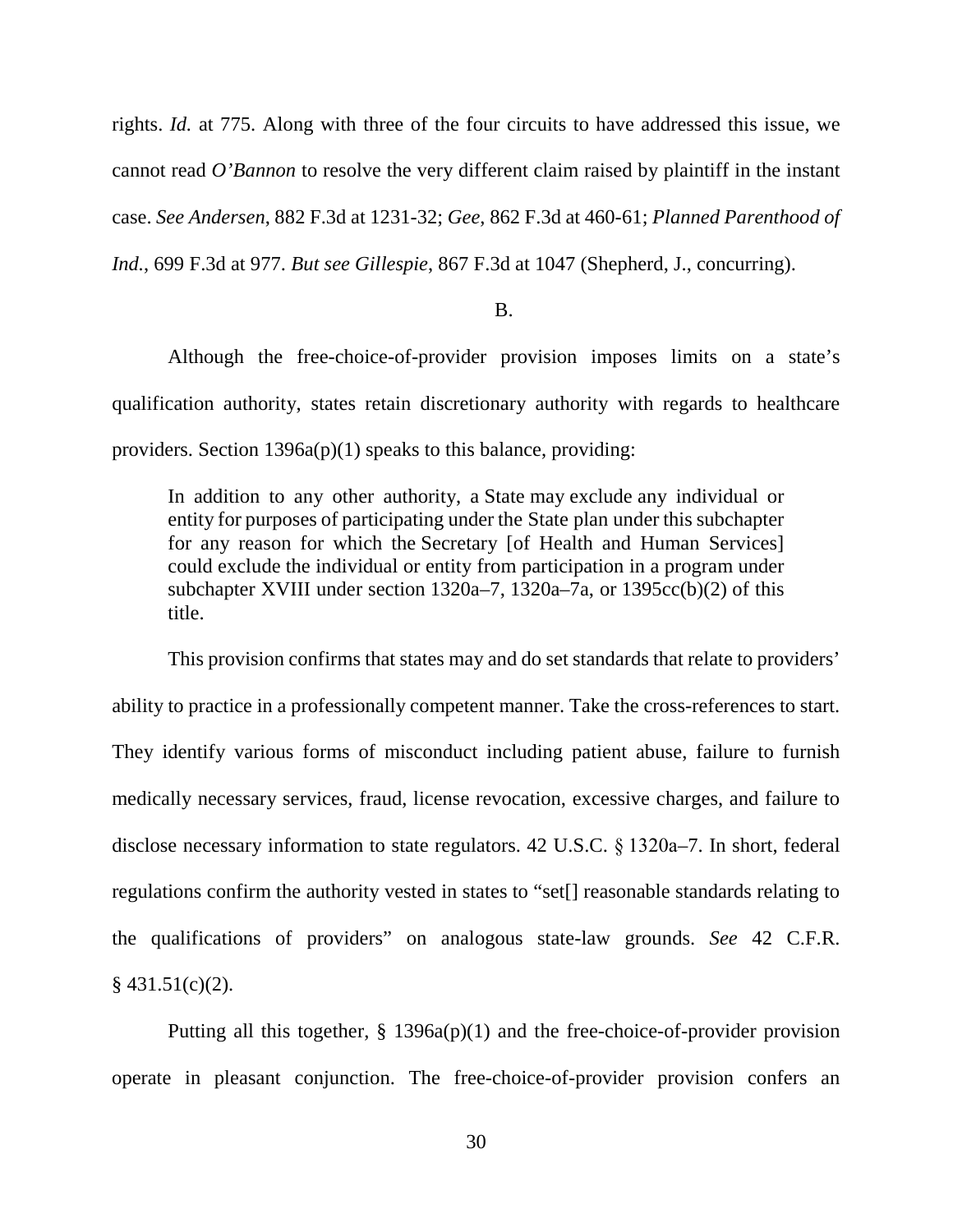rights. *Id.* at 775. Along with three of the four circuits to have addressed this issue, we cannot read *O'Bannon* to resolve the very different claim raised by plaintiff in the instant case. *See Andersen*, 882 F.3d at 1231-32; *Gee*, 862 F.3d at 460-61; *Planned Parenthood of Ind.*, 699 F.3d at 977. *But see Gillespie*, 867 F.3d at 1047 (Shepherd, J., concurring).

## B.

Although the free-choice-of-provider provision imposes limits on a state's qualification authority, states retain discretionary authority with regards to healthcare providers. Section 1396a(p)(1) speaks to this balance, providing:

In addition to any other authority, a State may exclude any individual or entity for purposes of participating under the State plan under this subchapter for any reason for which the Secretary [of Health and Human Services] could exclude the individual or entity from participation in a program under subchapter XVIII under section 1320a–7, 1320a–7a, or 1395cc(b)(2) of this title.

This provision confirms that states may and do set standards that relate to providers' ability to practice in a professionally competent manner. Take the cross-references to start. They identify various forms of misconduct including patient abuse, failure to furnish medically necessary services, fraud, license revocation, excessive charges, and failure to disclose necessary information to state regulators. 42 U.S.C. § 1320a–7. In short, federal regulations confirm the authority vested in states to "set[] reasonable standards relating to the qualifications of providers" on analogous state-law grounds. *See* 42 C.F.R.  $§$  431.51(c)(2).

Putting all this together, § 1396a(p)(1) and the free-choice-of-provider provision operate in pleasant conjunction. The free-choice-of-provider provision confers an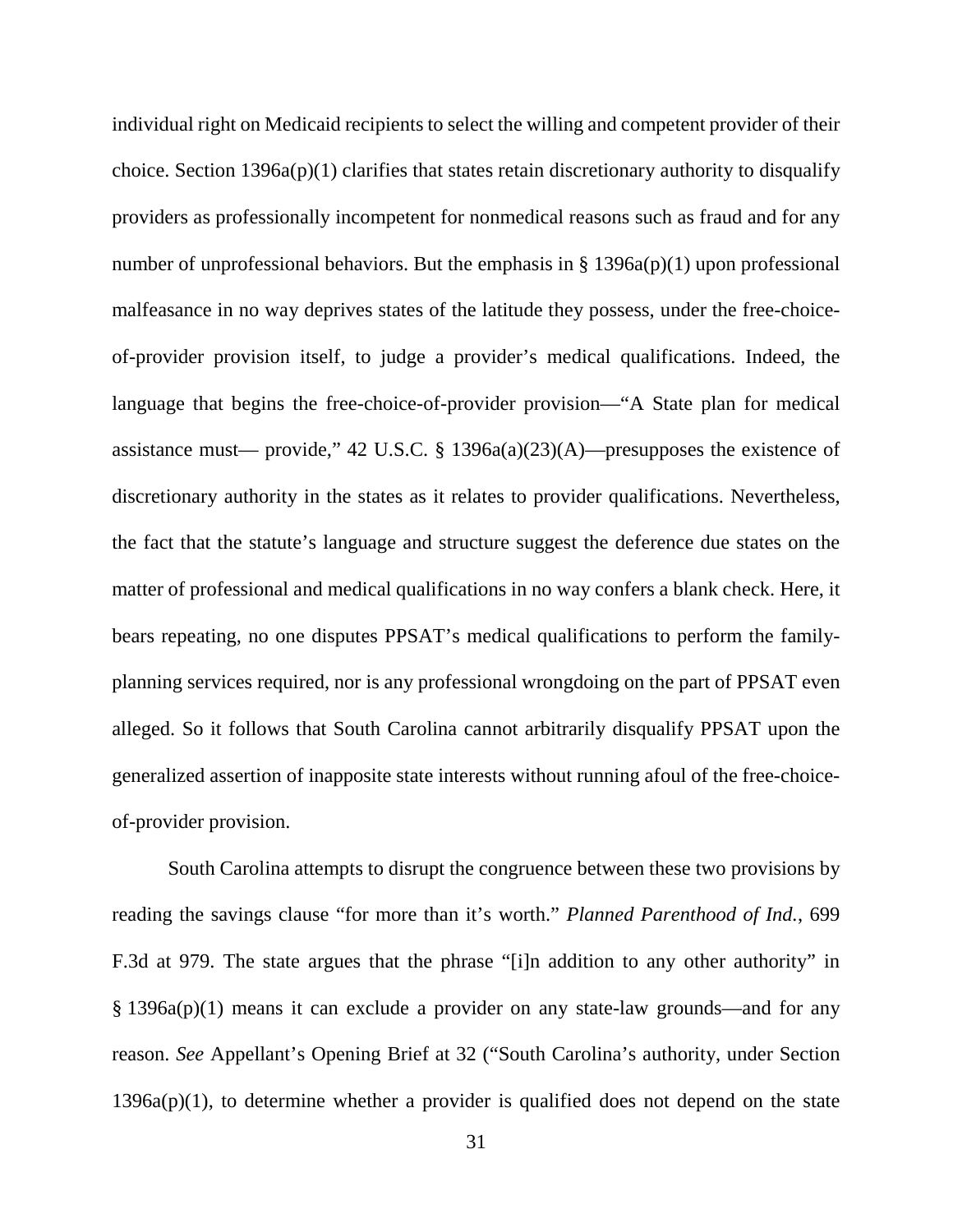individual right on Medicaid recipients to select the willing and competent provider of their choice. Section  $1396a(p)(1)$  clarifies that states retain discretionary authority to disqualify providers as professionally incompetent for nonmedical reasons such as fraud and for any number of unprofessional behaviors. But the emphasis in  $\S 1396a(p)(1)$  upon professional malfeasance in no way deprives states of the latitude they possess, under the free-choiceof-provider provision itself, to judge a provider's medical qualifications. Indeed, the language that begins the free-choice-of-provider provision—"A State plan for medical assistance must— provide," 42 U.S.C.  $\S$  1396a(a)(23)(A)—presupposes the existence of discretionary authority in the states as it relates to provider qualifications. Nevertheless, the fact that the statute's language and structure suggest the deference due states on the matter of professional and medical qualifications in no way confers a blank check. Here, it bears repeating, no one disputes PPSAT's medical qualifications to perform the familyplanning services required, nor is any professional wrongdoing on the part of PPSAT even alleged. So it follows that South Carolina cannot arbitrarily disqualify PPSAT upon the generalized assertion of inapposite state interests without running afoul of the free-choiceof-provider provision.

South Carolina attempts to disrupt the congruence between these two provisions by reading the savings clause "for more than it's worth." *Planned Parenthood of Ind.*, 699 F.3d at 979. The state argues that the phrase "[i]n addition to any other authority" in § 1396a(p)(1) means it can exclude a provider on any state-law grounds—and for any reason. *See* Appellant's Opening Brief at 32 ("South Carolina's authority, under Section 1396a(p)(1), to determine whether a provider is qualified does not depend on the state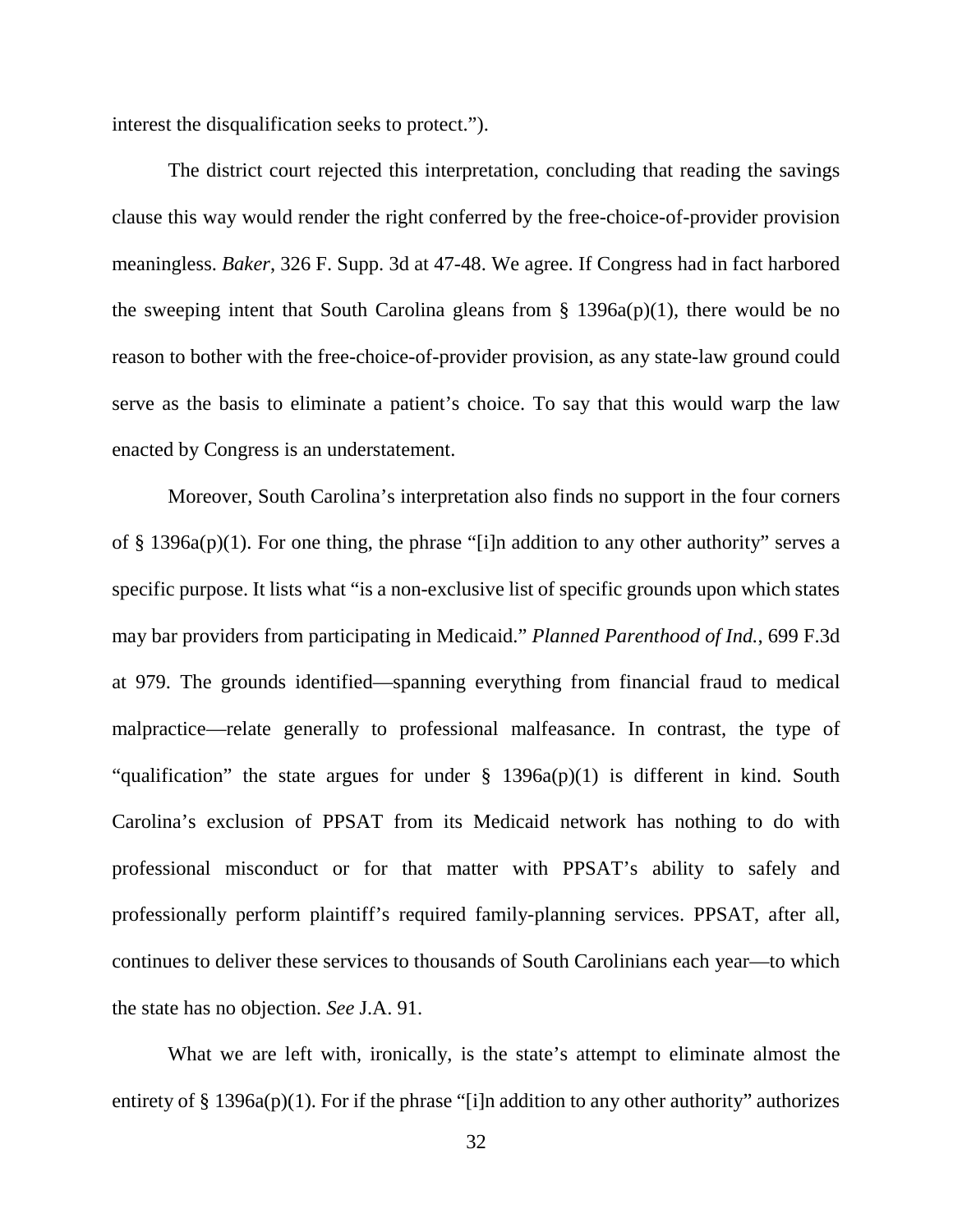interest the disqualification seeks to protect.").

The district court rejected this interpretation, concluding that reading the savings clause this way would render the right conferred by the free-choice-of-provider provision meaningless. *Baker*, 326 F. Supp. 3d at 47-48. We agree. If Congress had in fact harbored the sweeping intent that South Carolina gleans from  $\S$  1396a(p)(1), there would be no reason to bother with the free-choice-of-provider provision, as any state-law ground could serve as the basis to eliminate a patient's choice. To say that this would warp the law enacted by Congress is an understatement.

Moreover, South Carolina's interpretation also finds no support in the four corners of § 1396a(p)(1). For one thing, the phrase "[i]n addition to any other authority" serves a specific purpose. It lists what "is a non-exclusive list of specific grounds upon which states may bar providers from participating in Medicaid." *Planned Parenthood of Ind.*, 699 F.3d at 979. The grounds identified—spanning everything from financial fraud to medical malpractice—relate generally to professional malfeasance. In contrast, the type of "qualification" the state argues for under  $\S$  1396a(p)(1) is different in kind. South Carolina's exclusion of PPSAT from its Medicaid network has nothing to do with professional misconduct or for that matter with PPSAT's ability to safely and professionally perform plaintiff's required family-planning services. PPSAT, after all, continues to deliver these services to thousands of South Carolinians each year—to which the state has no objection. *See* J.A. 91.

What we are left with, ironically, is the state's attempt to eliminate almost the entirety of  $\S$  1396a(p)(1). For if the phrase "[i]n addition to any other authority" authorizes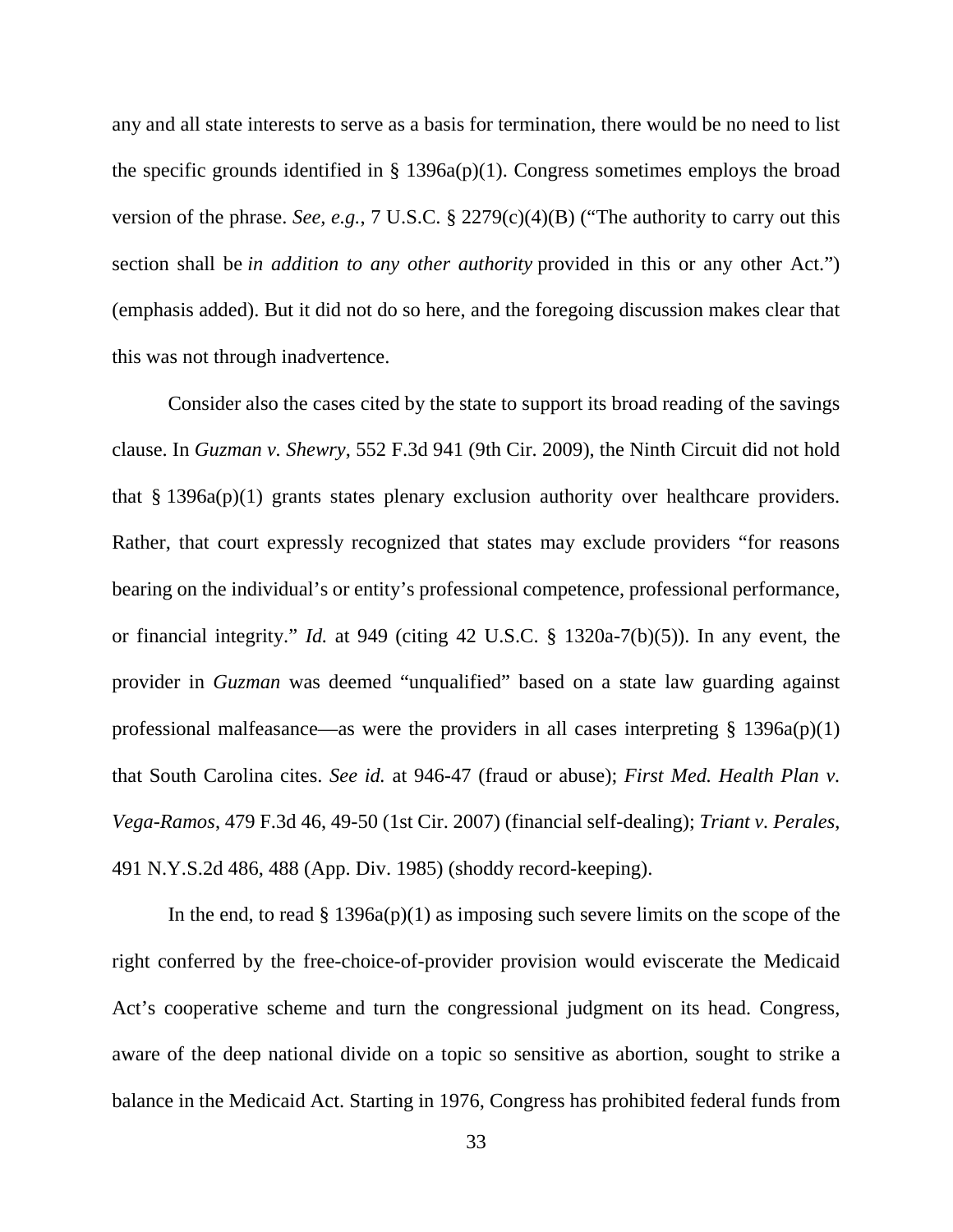any and all state interests to serve as a basis for termination, there would be no need to list the specific grounds identified in  $\S$  1396a(p)(1). Congress sometimes employs the broad version of the phrase. *See, e.g.*, 7 U.S.C. § 2279(c)(4)(B) ("The authority to carry out this section shall be *in addition to any other authority* provided in this or any other Act.") (emphasis added). But it did not do so here, and the foregoing discussion makes clear that this was not through inadvertence.

Consider also the cases cited by the state to support its broad reading of the savings clause. In *Guzman v. Shewry*, 552 F.3d 941 (9th Cir. 2009), the Ninth Circuit did not hold that  $\S 1396a(p)(1)$  grants states plenary exclusion authority over healthcare providers. Rather, that court expressly recognized that states may exclude providers "for reasons bearing on the individual's or entity's professional competence, professional performance, or financial integrity." *Id.* at 949 (citing 42 U.S.C. § 1320a-7(b)(5)). In any event, the provider in *Guzman* was deemed "unqualified" based on a state law guarding against professional malfeasance—as were the providers in all cases interpreting  $\S$  1396a(p)(1) that South Carolina cites. *See id.* at 946-47 (fraud or abuse); *First Med. Health Plan v. Vega-Ramos*, 479 F.3d 46, 49-50 (1st Cir. 2007) (financial self-dealing); *Triant v. Perales*, 491 N.Y.S.2d 486, 488 (App. Div. 1985) (shoddy record-keeping).

In the end, to read  $\S 1396a(p)(1)$  as imposing such severe limits on the scope of the right conferred by the free-choice-of-provider provision would eviscerate the Medicaid Act's cooperative scheme and turn the congressional judgment on its head. Congress, aware of the deep national divide on a topic so sensitive as abortion, sought to strike a balance in the Medicaid Act. Starting in 1976, Congress has prohibited federal funds from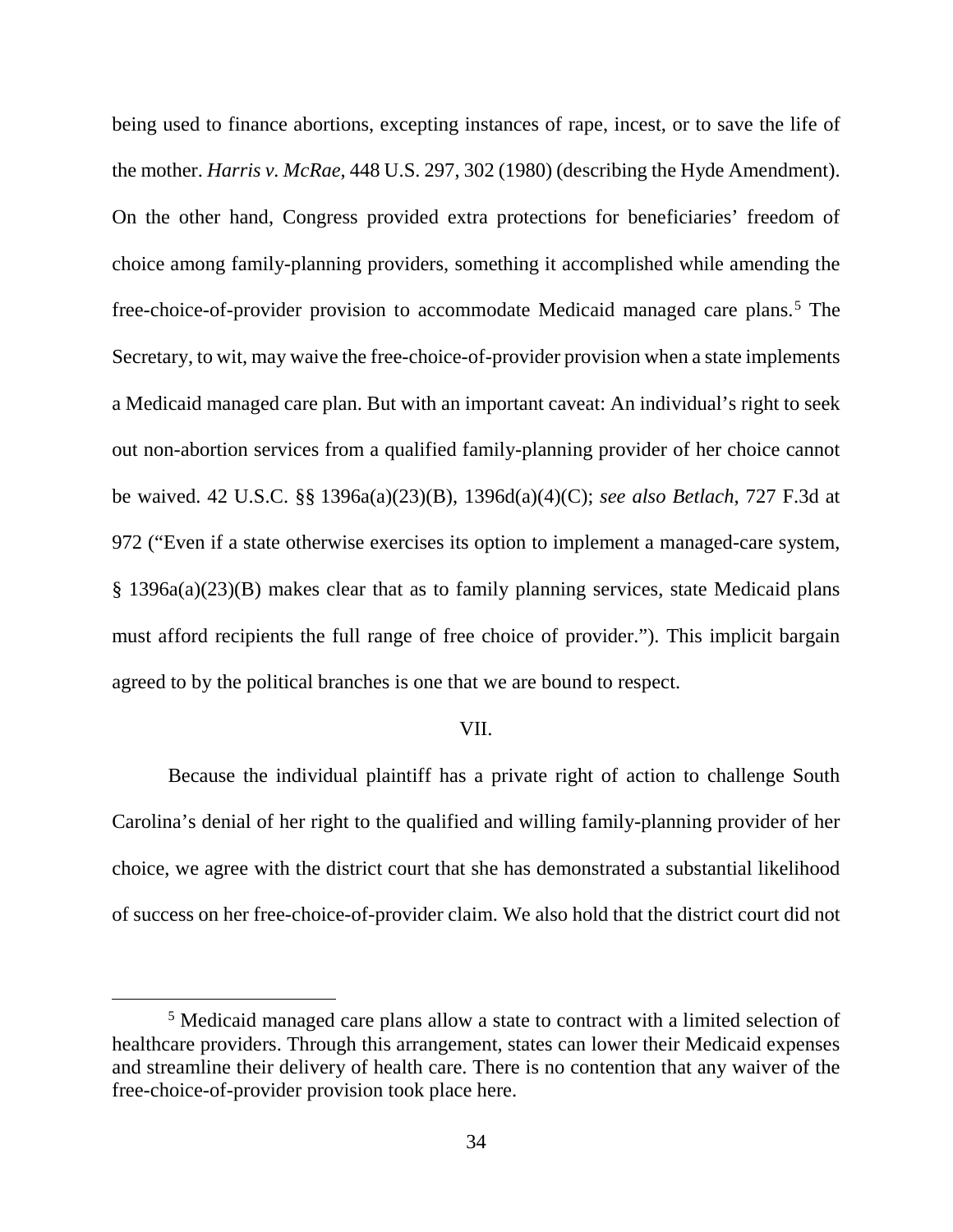being used to finance abortions, excepting instances of rape, incest, or to save the life of the mother. *Harris v. McRae*, 448 U.S. 297, 302 (1980) (describing the Hyde Amendment). On the other hand, Congress provided extra protections for beneficiaries' freedom of choice among family-planning providers, something it accomplished while amending the free-choice-of-provider provision to accommodate Medicaid managed care plans. [5](#page-33-0) The Secretary, to wit, may waive the free-choice-of-provider provision when a state implements a Medicaid managed care plan. But with an important caveat: An individual's right to seek out non-abortion services from a qualified family-planning provider of her choice cannot be waived. 42 U.S.C. §§ 1396a(a)(23)(B), 1396d(a)(4)(C); *see also Betlach*, 727 F.3d at 972 ("Even if a state otherwise exercises its option to implement a managed-care system, § 1396a(a)(23)(B) makes clear that as to family planning services, state Medicaid plans must afford recipients the full range of free choice of provider."). This implicit bargain agreed to by the political branches is one that we are bound to respect.

### VII.

Because the individual plaintiff has a private right of action to challenge South Carolina's denial of her right to the qualified and willing family-planning provider of her choice, we agree with the district court that she has demonstrated a substantial likelihood of success on her free-choice-of-provider claim. We also hold that the district court did not

<span id="page-33-0"></span> <sup>5</sup> Medicaid managed care plans allow a state to contract with a limited selection of healthcare providers. Through this arrangement, states can lower their Medicaid expenses and streamline their delivery of health care. There is no contention that any waiver of the free-choice-of-provider provision took place here.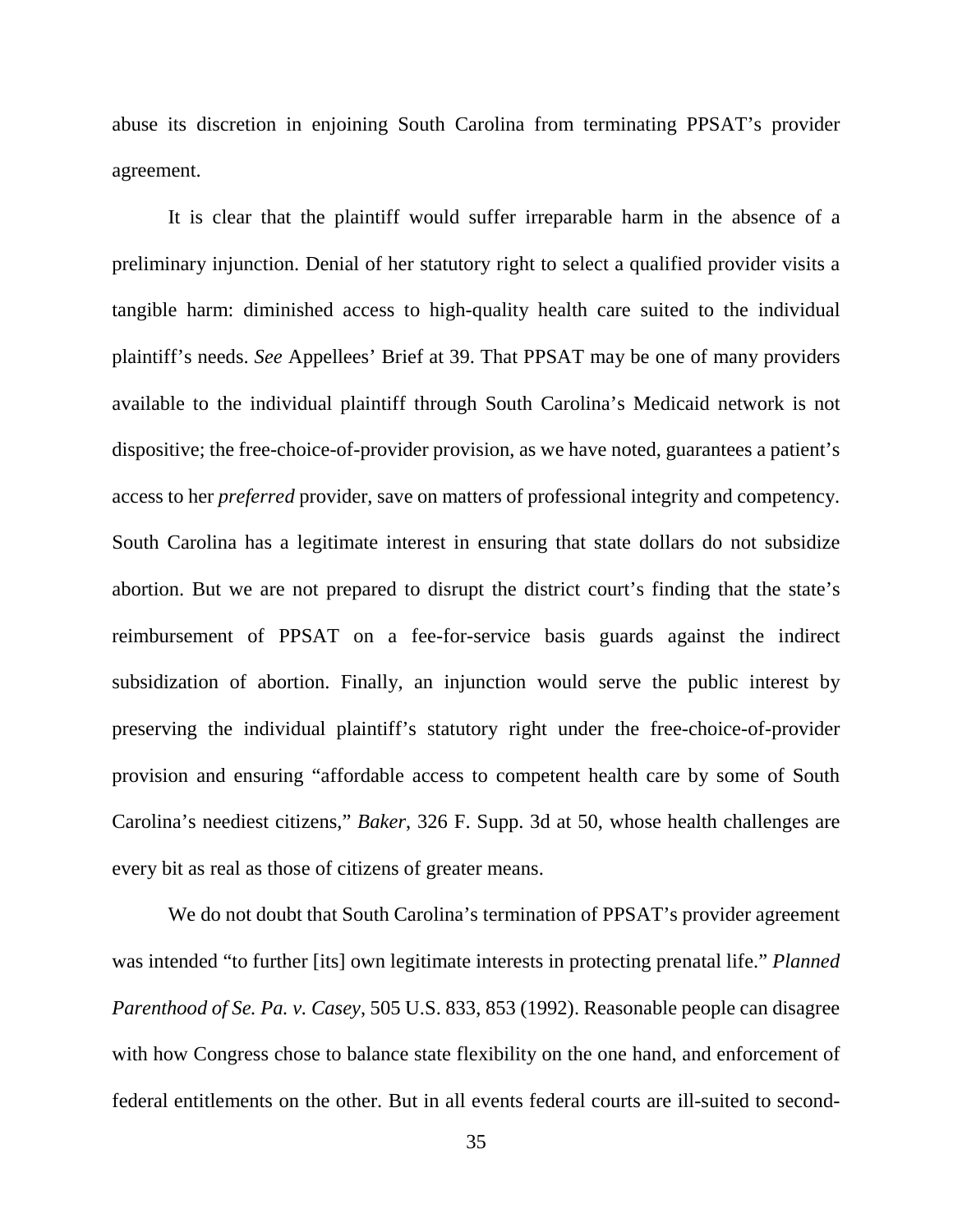abuse its discretion in enjoining South Carolina from terminating PPSAT's provider agreement.

It is clear that the plaintiff would suffer irreparable harm in the absence of a preliminary injunction. Denial of her statutory right to select a qualified provider visits a tangible harm: diminished access to high-quality health care suited to the individual plaintiff's needs. *See* Appellees' Brief at 39. That PPSAT may be one of many providers available to the individual plaintiff through South Carolina's Medicaid network is not dispositive; the free-choice-of-provider provision, as we have noted, guarantees a patient's access to her *preferred* provider, save on matters of professional integrity and competency. South Carolina has a legitimate interest in ensuring that state dollars do not subsidize abortion. But we are not prepared to disrupt the district court's finding that the state's reimbursement of PPSAT on a fee-for-service basis guards against the indirect subsidization of abortion. Finally, an injunction would serve the public interest by preserving the individual plaintiff's statutory right under the free-choice-of-provider provision and ensuring "affordable access to competent health care by some of South Carolina's neediest citizens," *Baker*, 326 F. Supp. 3d at 50, whose health challenges are every bit as real as those of citizens of greater means.

We do not doubt that South Carolina's termination of PPSAT's provider agreement was intended "to further [its] own legitimate interests in protecting prenatal life." *Planned Parenthood of Se. Pa. v. Casey*, 505 U.S. 833, 853 (1992). Reasonable people can disagree with how Congress chose to balance state flexibility on the one hand, and enforcement of federal entitlements on the other. But in all events federal courts are ill-suited to second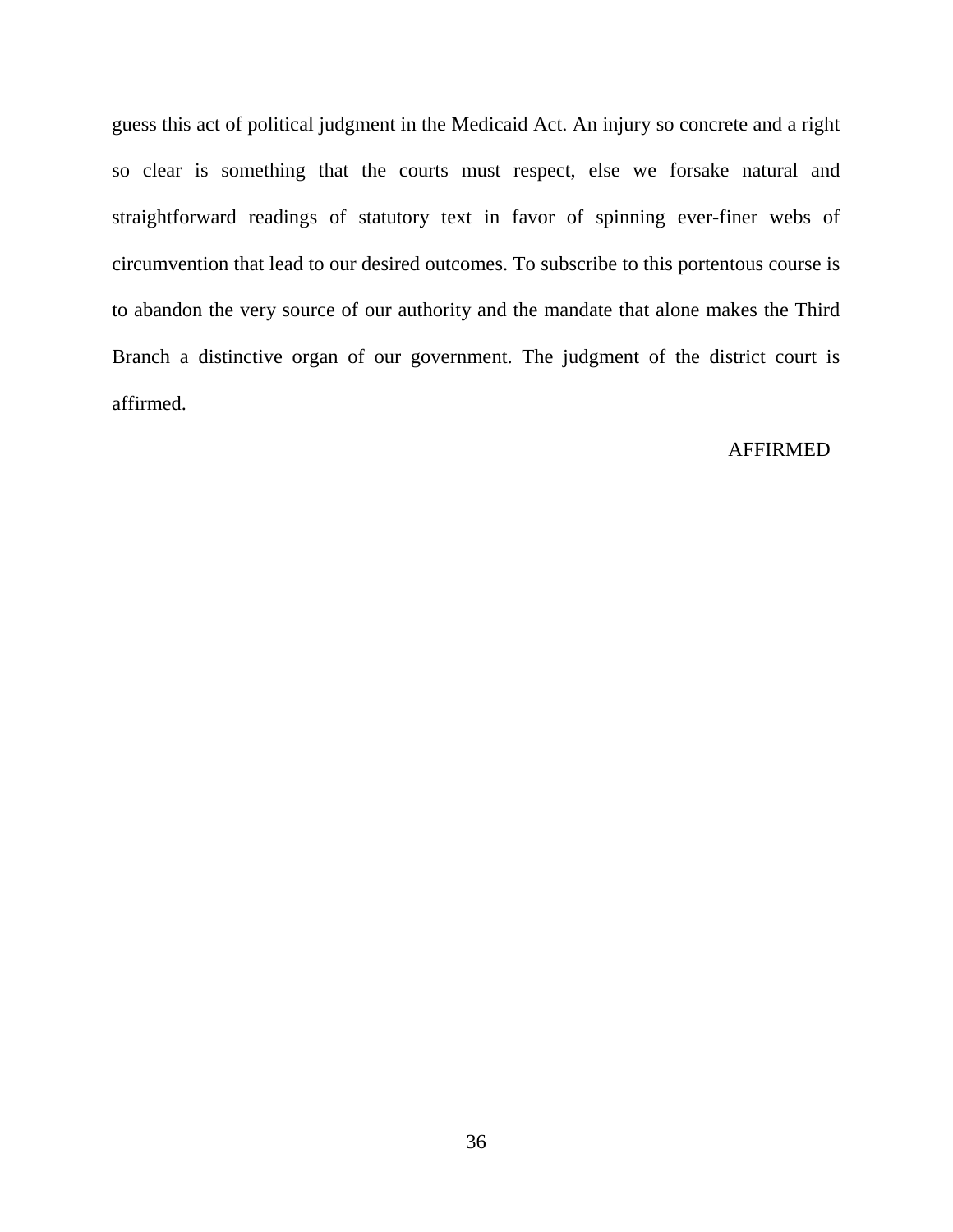guess this act of political judgment in the Medicaid Act. An injury so concrete and a right so clear is something that the courts must respect, else we forsake natural and straightforward readings of statutory text in favor of spinning ever-finer webs of circumvention that lead to our desired outcomes. To subscribe to this portentous course is to abandon the very source of our authority and the mandate that alone makes the Third Branch a distinctive organ of our government. The judgment of the district court is affirmed.

## AFFIRMED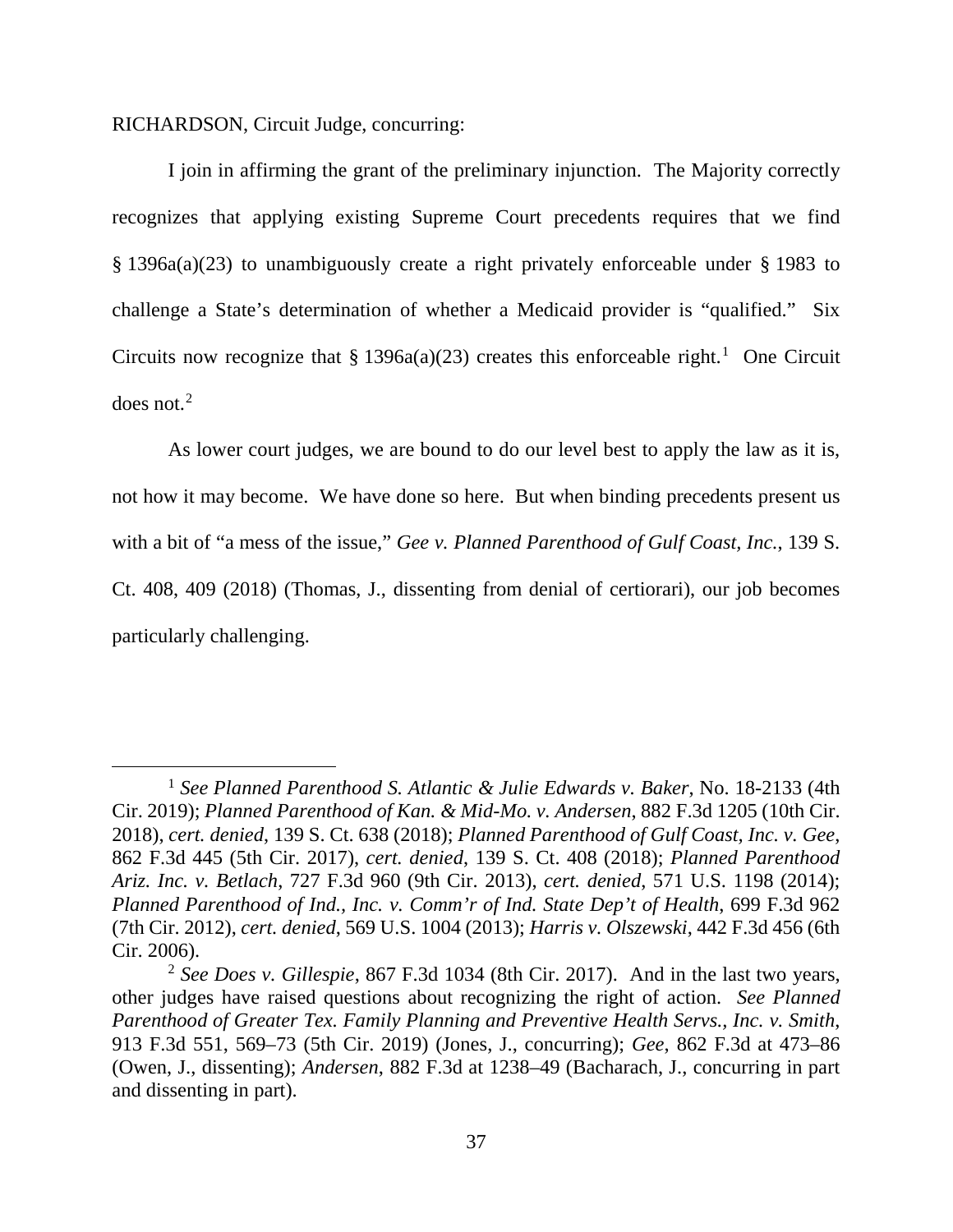RICHARDSON, Circuit Judge, concurring:

I join in affirming the grant of the preliminary injunction. The Majority correctly recognizes that applying existing Supreme Court precedents requires that we find § 1396a(a)(23) to unambiguously create a right privately enforceable under § 1983 to challenge a State's determination of whether a Medicaid provider is "qualified." Six Circuits now recognize that  $\S 1396a(a)(23)$  $\S 1396a(a)(23)$  $\S 1396a(a)(23)$  creates this enforceable right.<sup>1</sup> One Circuit does not. $2$ 

As lower court judges, we are bound to do our level best to apply the law as it is, not how it may become. We have done so here. But when binding precedents present us with a bit of "a mess of the issue," *Gee v. Planned Parenthood of Gulf Coast, Inc.*, 139 S. Ct. 408, 409 (2018) (Thomas, J., dissenting from denial of certiorari), our job becomes particularly challenging.

<span id="page-36-0"></span> <sup>1</sup> *See Planned Parenthood S. Atlantic & Julie Edwards v. Baker*, No. 18-2133 (4th Cir. 2019); *Planned Parenthood of Kan. & Mid-Mo. v. Andersen*, 882 F.3d 1205 (10th Cir. 2018), *cert. denied*, 139 S. Ct. 638 (2018); *Planned Parenthood of Gulf Coast, Inc. v. Gee*, 862 F.3d 445 (5th Cir. 2017), *cert. denied*, 139 S. Ct. 408 (2018); *Planned Parenthood Ariz. Inc. v. Betlach*, 727 F.3d 960 (9th Cir. 2013), *cert. denied*, 571 U.S. 1198 (2014); *Planned Parenthood of Ind., Inc. v. Comm'r of Ind. State Dep't of Health*, 699 F.3d 962 (7th Cir. 2012), *cert. denied*, 569 U.S. 1004 (2013); *Harris v. Olszewski*, 442 F.3d 456 (6th Cir. 2006).

<span id="page-36-1"></span><sup>2</sup> *See Does v. Gillespie*, 867 F.3d 1034 (8th Cir. 2017). And in the last two years, other judges have raised questions about recognizing the right of action. *See Planned Parenthood of Greater Tex. Family Planning and Preventive Health Servs., Inc. v. Smith*, 913 F.3d 551, 569–73 (5th Cir. 2019) (Jones, J., concurring); *Gee*, 862 F.3d at 473–86 (Owen, J., dissenting); *Andersen*, 882 F.3d at 1238–49 (Bacharach, J., concurring in part and dissenting in part).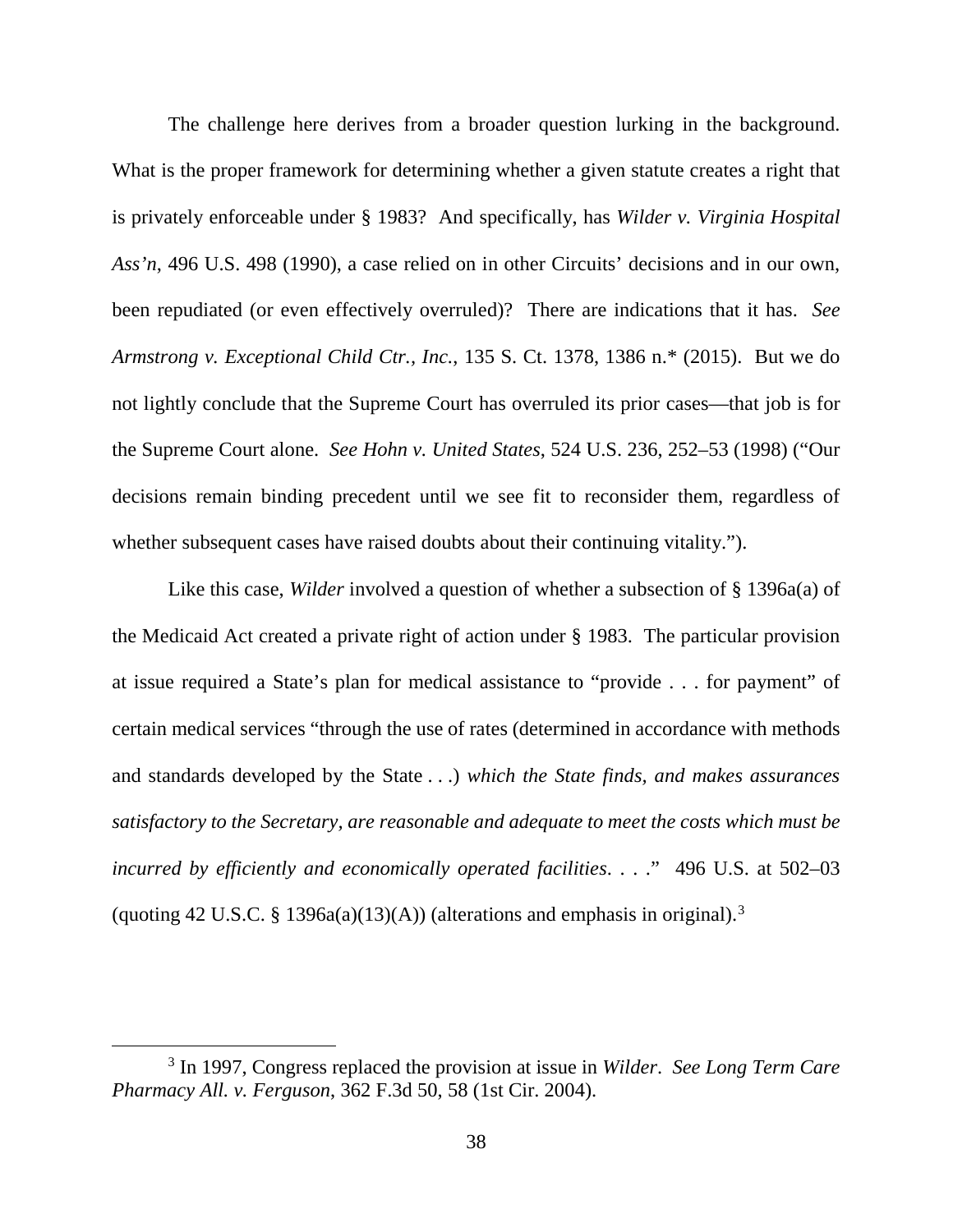The challenge here derives from a broader question lurking in the background. What is the proper framework for determining whether a given statute creates a right that is privately enforceable under § 1983? And specifically, has *Wilder v. Virginia Hospital Ass'n*, 496 U.S. 498 (1990), a case relied on in other Circuits' decisions and in our own, been repudiated (or even effectively overruled)? There are indications that it has. *See Armstrong v. Exceptional Child Ctr., Inc.*, 135 S. Ct. 1378, 1386 n.\* (2015). But we do not lightly conclude that the Supreme Court has overruled its prior cases—that job is for the Supreme Court alone. *See Hohn v. United States*, 524 U.S. 236, 252–53 (1998) ("Our decisions remain binding precedent until we see fit to reconsider them, regardless of whether subsequent cases have raised doubts about their continuing vitality.").

Like this case, *Wilder* involved a question of whether a subsection of § 1396a(a) of the Medicaid Act created a private right of action under § 1983. The particular provision at issue required a State's plan for medical assistance to "provide . . . for payment" of certain medical services "through the use of rates (determined in accordance with methods and standards developed by the State . . .) *which the State finds, and makes assurances satisfactory to the Secretary, are reasonable and adequate to meet the costs which must be incurred by efficiently and economically operated facilities*. . . ." 496 U.S. at 502–03 (quoting 42 U.S.C. § 1[3](#page-37-0)96a(a)(13)(A)) (alterations and emphasis in original).<sup>3</sup>

<span id="page-37-0"></span> <sup>3</sup> In 1997, Congress replaced the provision at issue in *Wilder*. *See Long Term Care Pharmacy All. v. Ferguson*, 362 F.3d 50, 58 (1st Cir. 2004).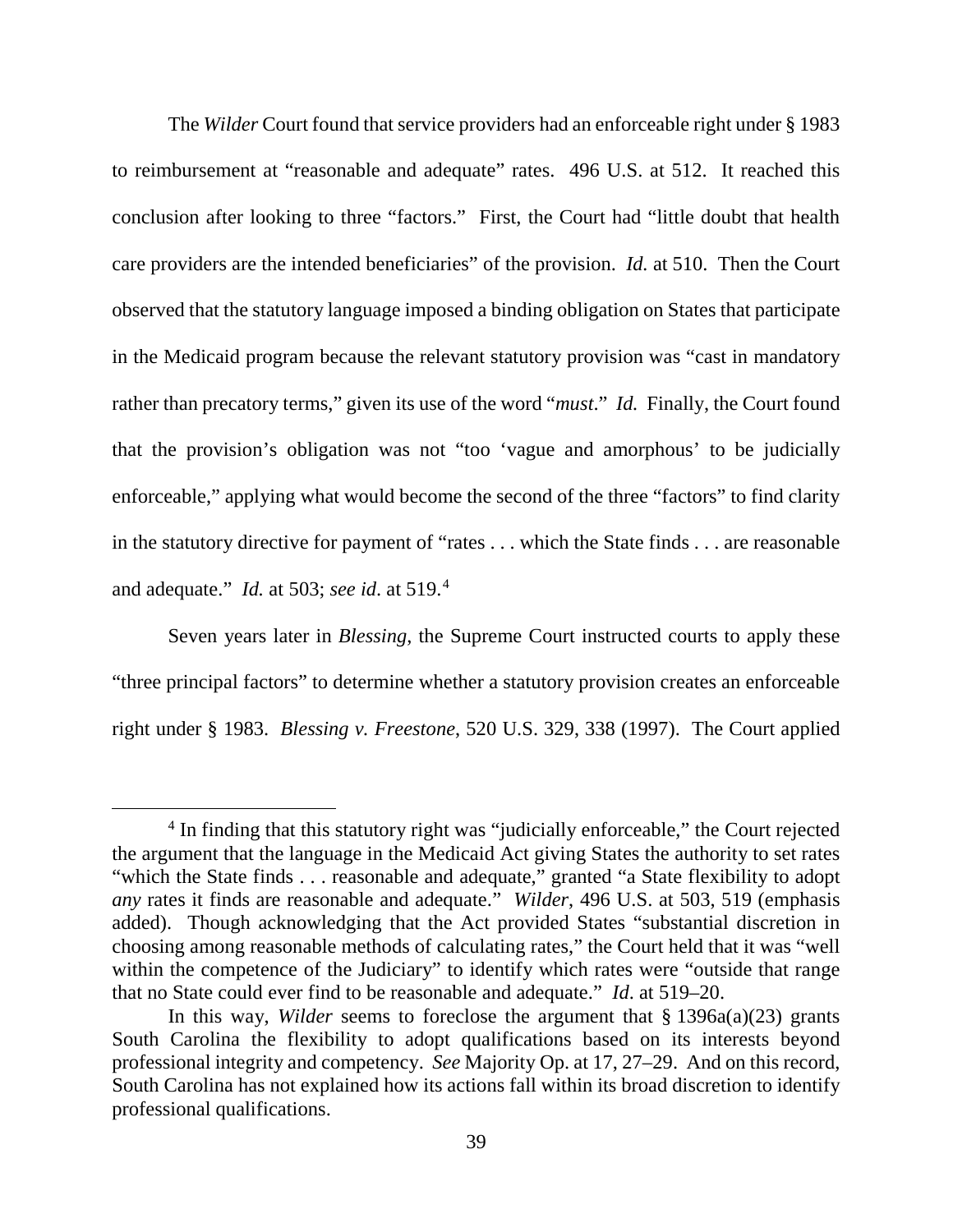The *Wilder* Court found that service providers had an enforceable right under § 1983 to reimbursement at "reasonable and adequate" rates. 496 U.S. at 512. It reached this conclusion after looking to three "factors." First, the Court had "little doubt that health care providers are the intended beneficiaries" of the provision. *Id.* at 510. Then the Court observed that the statutory language imposed a binding obligation on States that participate in the Medicaid program because the relevant statutory provision was "cast in mandatory rather than precatory terms," given its use of the word "*must*." *Id.* Finally, the Court found that the provision's obligation was not "too 'vague and amorphous' to be judicially enforceable," applying what would become the second of the three "factors" to find clarity in the statutory directive for payment of "rates . . . which the State finds . . . are reasonable and adequate." *Id.* at 503; *see id*. at 519. [4](#page-38-0)

Seven years later in *Blessing*, the Supreme Court instructed courts to apply these "three principal factors" to determine whether a statutory provision creates an enforceable right under § 1983. *Blessing v. Freestone*, 520 U.S. 329, 338 (1997). The Court applied

<span id="page-38-0"></span><sup>&</sup>lt;sup>4</sup> In finding that this statutory right was "judicially enforceable," the Court rejected the argument that the language in the Medicaid Act giving States the authority to set rates "which the State finds . . . reasonable and adequate," granted "a State flexibility to adopt *any* rates it finds are reasonable and adequate." *Wilder*, 496 U.S. at 503, 519 (emphasis added). Though acknowledging that the Act provided States "substantial discretion in choosing among reasonable methods of calculating rates," the Court held that it was "well within the competence of the Judiciary" to identify which rates were "outside that range that no State could ever find to be reasonable and adequate." *Id*. at 519–20.

In this way, *Wilder* seems to foreclose the argument that § 1396a(a)(23) grants South Carolina the flexibility to adopt qualifications based on its interests beyond professional integrity and competency. *See* Majority Op. at 17, 27–29. And on this record, South Carolina has not explained how its actions fall within its broad discretion to identify professional qualifications.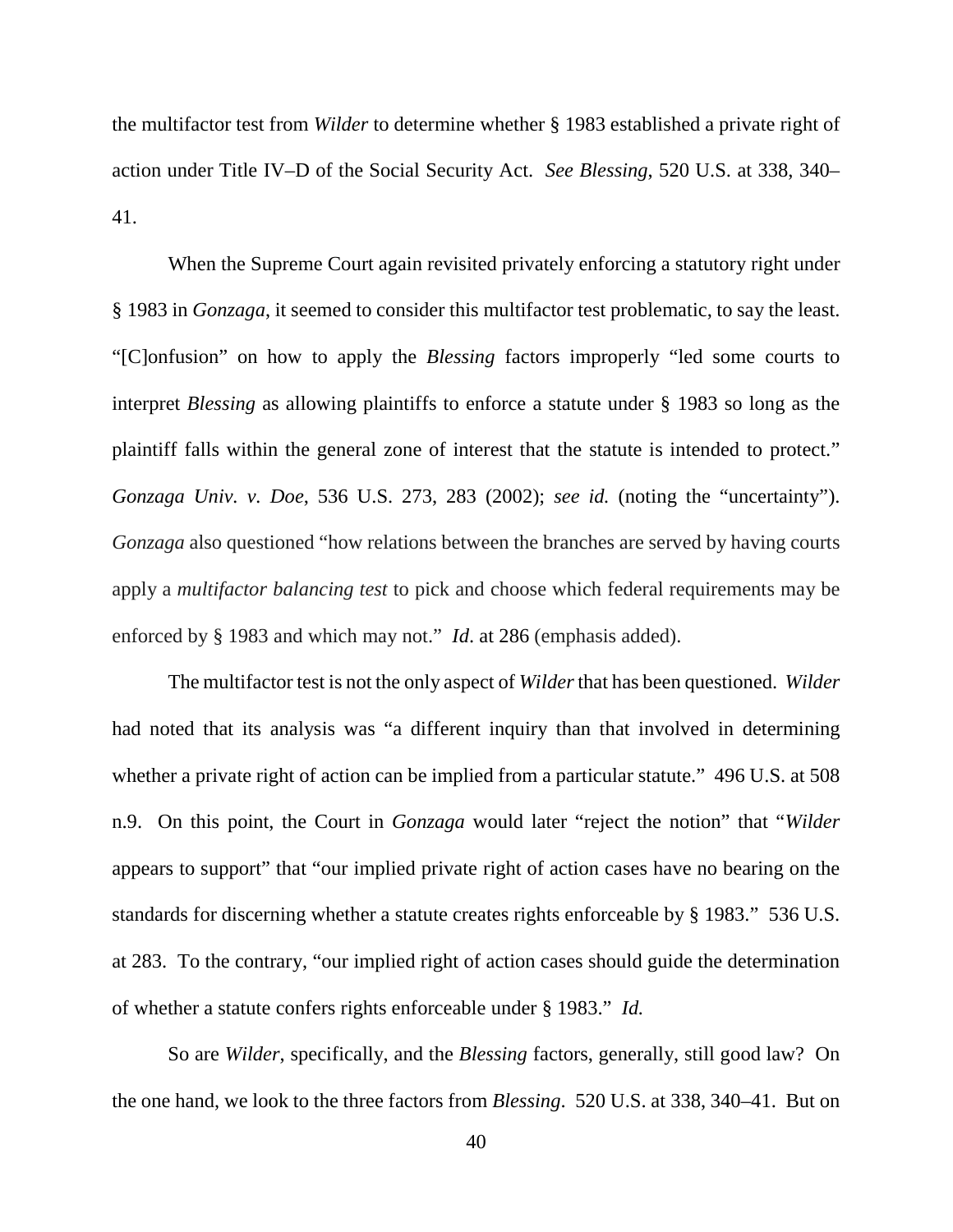the multifactor test from *Wilder* to determine whether § 1983 established a private right of action under Title IV–D of the Social Security Act. *See Blessing*, 520 U.S. at 338, 340– 41.

When the Supreme Court again revisited privately enforcing a statutory right under § 1983 in *Gonzaga*, it seemed to consider this multifactor test problematic, to say the least. "[C]onfusion" on how to apply the *Blessing* factors improperly "led some courts to interpret *Blessing* as allowing plaintiffs to enforce a statute under § 1983 so long as the plaintiff falls within the general zone of interest that the statute is intended to protect." *Gonzaga Univ. v. Doe*, 536 U.S. 273, 283 (2002); *see id.* (noting the "uncertainty"). *Gonzaga* also questioned "how relations between the branches are served by having courts apply a *multifactor balancing test* to pick and choose which federal requirements may be enforced by § 1983 and which may not." *Id*. at 286 (emphasis added).

The multifactor test is not the only aspect of *Wilder*that has been questioned. *Wilder* had noted that its analysis was "a different inquiry than that involved in determining whether a private right of action can be implied from a particular statute." 496 U.S. at 508 n.9. On this point, the Court in *Gonzaga* would later "reject the notion" that "*Wilder*  appears to support" that "our implied private right of action cases have no bearing on the standards for discerning whether a statute creates rights enforceable by § 1983." 536 U.S. at 283. To the contrary, "our implied right of action cases should guide the determination of whether a statute confers rights enforceable under § 1983." *Id.*

So are *Wilder*, specifically, and the *Blessing* factors, generally, still good law? On the one hand, we look to the three factors from *Blessing*. 520 U.S. at 338, 340–41. But on